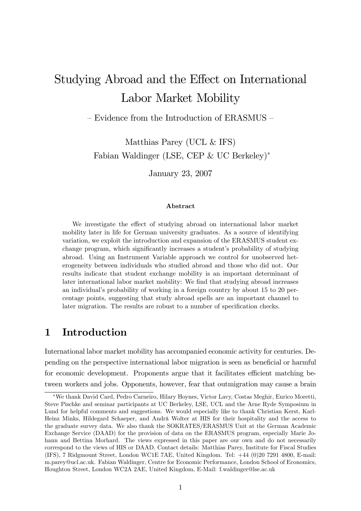# Studying Abroad and the Effect on International Labor Market Mobility

 $-$  Evidence from the Introduction of ERASMUS  $\hbox{--}$ 

Matthias Parey (UCL & IFS) Fabian Waldinger (LSE, CEP & UC Berkeley)

January 23, 2007

#### Abstract

We investigate the effect of studying abroad on international labor market mobility later in life for German university graduates. As a source of identifying variation, we exploit the introduction and expansion of the ERASMUS student exchange program, which significantly increases a student's probability of studying abroad. Using an Instrument Variable approach we control for unobserved heterogeneity between individuals who studied abroad and those who did not. Our results indicate that student exchange mobility is an important determinant of later international labor market mobility: We find that studying abroad increases an individual's probability of working in a foreign country by about 15 to 20 percentage points, suggesting that study abroad spells are an important channel to later migration. The results are robust to a number of specification checks.

## 1 Introduction

International labor market mobility has accompanied economic activity for centuries. Depending on the perspective international labor migration is seen as beneficial or harmful for economic development. Proponents argue that it facilitates efficient matching between workers and jobs. Opponents, however, fear that outmigration may cause a brain

We thank David Card, Pedro Carneiro, Hilary Hoynes, Victor Lavy, Costas Meghir, Enrico Moretti, Steve Pischke and seminar participants at UC Berkeley, LSE, UCL and the Arne Ryde Symposium in Lund for helpful comments and suggestions. We would especially like to thank Christian Kerst, Karl-Heinz Minks, Hildegard Schaeper, and Andrä Wolter at HIS for their hospitality and the access to the graduate survey data. We also thank the SOKRATES/ERASMUS Unit at the German Academic Exchange Service (DAAD) for the provision of data on the ERASMUS program, especially Marie Johann and Bettina Morhard. The views expressed in this paper are our own and do not necessarily correspond to the views of HIS or DAAD. Contact details: Matthias Parey, Institute for Fiscal Studies (IFS), 7 Ridgmount Street, London WC1E 7AE, United Kingdom. Tel: +44 (0)20 7291 4800, E-mail: m.parey@ucl.ac.uk. Fabian Waldinger, Centre for Economic Performance, London School of Economics, Houghton Street, London WC2A 2AE, United Kingdom, E-Mail: f.waldinger@lse.ac.uk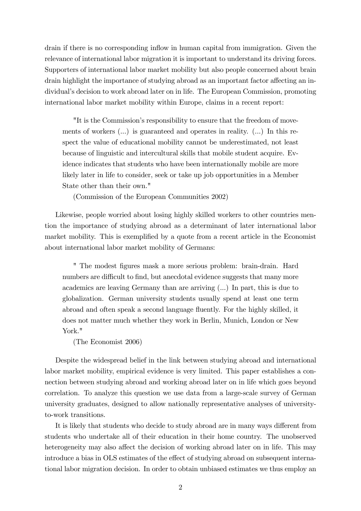drain if there is no corresponding ináow in human capital from immigration. Given the relevance of international labor migration it is important to understand its driving forces. Supporters of international labor market mobility but also people concerned about brain drain highlight the importance of studying abroad as an important factor affecting an individual's decision to work abroad later on in life. The European Commission, promoting international labor market mobility within Europe, claims in a recent report:

"It is the Commission's responsibility to ensure that the freedom of movements of workers (...) is guaranteed and operates in reality. (...) In this respect the value of educational mobility cannot be underestimated, not least because of linguistic and intercultural skills that mobile student acquire. Evidence indicates that students who have been internationally mobile are more likely later in life to consider, seek or take up job opportunities in a Member State other than their own."

(Commission of the European Communities 2002)

Likewise, people worried about losing highly skilled workers to other countries mention the importance of studying abroad as a determinant of later international labor market mobility. This is exemplified by a quote from a recent article in the Economist about international labor market mobility of Germans:

" The modest Ögures mask a more serious problem: brain-drain. Hard numbers are difficult to find, but anecdotal evidence suggests that many more academics are leaving Germany than are arriving (...) In part, this is due to globalization. German university students usually spend at least one term abroad and often speak a second language fluently. For the highly skilled, it does not matter much whether they work in Berlin, Munich, London or New York."

(The Economist 2006)

Despite the widespread belief in the link between studying abroad and international labor market mobility, empirical evidence is very limited. This paper establishes a connection between studying abroad and working abroad later on in life which goes beyond correlation. To analyze this question we use data from a large-scale survey of German university graduates, designed to allow nationally representative analyses of universityto-work transitions.

It is likely that students who decide to study abroad are in many ways different from students who undertake all of their education in their home country. The unobserved heterogeneity may also affect the decision of working abroad later on in life. This may introduce a bias in OLS estimates of the effect of studying abroad on subsequent international labor migration decision. In order to obtain unbiased estimates we thus employ an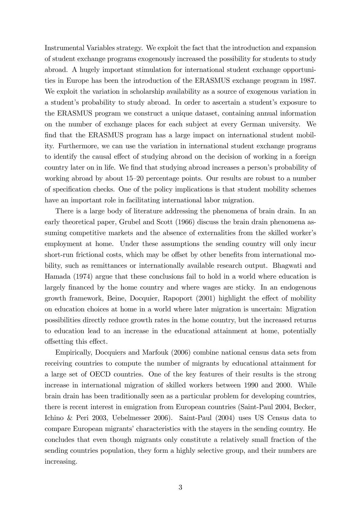Instrumental Variables strategy. We exploit the fact that the introduction and expansion of student exchange programs exogenously increased the possibility for students to study abroad. A hugely important stimulation for international student exchange opportunities in Europe has been the introduction of the ERASMUS exchange program in 1987. We exploit the variation in scholarship availability as a source of exogenous variation in a student's probability to study abroad. In order to ascertain a student's exposure to the ERASMUS program we construct a unique dataset, containing annual information on the number of exchange places for each subject at every German university. We find that the ERASMUS program has a large impact on international student mobility. Furthermore, we can use the variation in international student exchange programs to identify the causal effect of studying abroad on the decision of working in a foreign country later on in life. We find that studying abroad increases a person's probability of working abroad by about  $15-20$  percentage points. Our results are robust to a number of specification checks. One of the policy implications is that student mobility schemes have an important role in facilitating international labor migration.

There is a large body of literature addressing the phenomena of brain drain. In an early theoretical paper, Grubel and Scott (1966) discuss the brain drain phenomena assuming competitive markets and the absence of externalities from the skilled worker's employment at home. Under these assumptions the sending country will only incur short-run frictional costs, which may be offset by other benefits from international mobility, such as remittances or internationally available research output. Bhagwati and Hamada (1974) argue that these conclusions fail to hold in a world where education is largely financed by the home country and where wages are sticky. In an endogenous growth framework, Beine, Docquier, Rapoport (2001) highlight the effect of mobility on education choices at home in a world where later migration is uncertain: Migration possibilities directly reduce growth rates in the home country, but the increased returns to education lead to an increase in the educational attainment at home, potentially offsetting this effect.

Empirically, Docquiers and Marfouk (2006) combine national census data sets from receiving countries to compute the number of migrants by educational attainment for a large set of OECD countries. One of the key features of their results is the strong increase in international migration of skilled workers between 1990 and 2000. While brain drain has been traditionally seen as a particular problem for developing countries, there is recent interest in emigration from European countries (Saint-Paul 2004, Becker, Ichino & Peri 2003, Uebelmesser 2006). Saint-Paul (2004) uses US Census data to compare European migrants' characteristics with the stayers in the sending country. He concludes that even though migrants only constitute a relatively small fraction of the sending countries population, they form a highly selective group, and their numbers are increasing.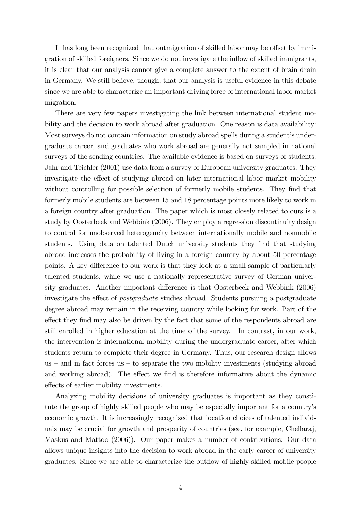It has long been recognized that outmigration of skilled labor may be offset by immigration of skilled foreigners. Since we do not investigate the ináow of skilled immigrants, it is clear that our analysis cannot give a complete answer to the extent of brain drain in Germany. We still believe, though, that our analysis is useful evidence in this debate since we are able to characterize an important driving force of international labor market migration.

There are very few papers investigating the link between international student mobility and the decision to work abroad after graduation. One reason is data availability: Most surveys do not contain information on study abroad spells during a student's undergraduate career, and graduates who work abroad are generally not sampled in national surveys of the sending countries. The available evidence is based on surveys of students. Jahr and Teichler (2001) use data from a survey of European university graduates. They investigate the effect of studying abroad on later international labor market mobility without controlling for possible selection of formerly mobile students. They find that formerly mobile students are between 15 and 18 percentage points more likely to work in a foreign country after graduation. The paper which is most closely related to ours is a study by Oosterbeek and Webbink (2006). They employ a regression discontinuity design to control for unobserved heterogeneity between internationally mobile and nonmobile students. Using data on talented Dutch university students they find that studying abroad increases the probability of living in a foreign country by about 50 percentage points. A key difference to our work is that they look at a small sample of particularly talented students, while we use a nationally representative survey of German university graduates. Another important difference is that Oosterbeek and Webbink (2006) investigate the effect of *postgraduate* studies abroad. Students pursuing a postgraduate degree abroad may remain in the receiving country while looking for work. Part of the effect they find may also be driven by the fact that some of the respondents abroad are still enrolled in higher education at the time of the survey. In contrast, in our work, the intervention is international mobility during the undergraduate career, after which students return to complete their degree in Germany. Thus, our research design allows us  $-$  and in fact forces us  $-$  to separate the two mobility investments (studying abroad and working abroad). The effect we find is therefore informative about the dynamic effects of earlier mobility investments.

Analyzing mobility decisions of university graduates is important as they constitute the group of highly skilled people who may be especially important for a countryís economic growth. It is increasingly recognized that location choices of talented individuals may be crucial for growth and prosperity of countries (see, for example, Chellaraj, Maskus and Mattoo (2006)). Our paper makes a number of contributions: Our data allows unique insights into the decision to work abroad in the early career of university graduates. Since we are able to characterize the outáow of highly-skilled mobile people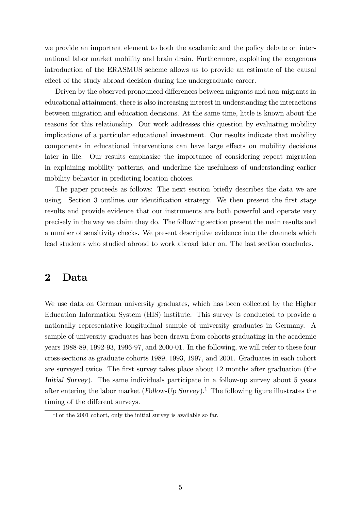we provide an important element to both the academic and the policy debate on international labor market mobility and brain drain. Furthermore, exploiting the exogenous introduction of the ERASMUS scheme allows us to provide an estimate of the causal effect of the study abroad decision during the undergraduate career.

Driven by the observed pronounced differences between migrants and non-migrants in educational attainment, there is also increasing interest in understanding the interactions between migration and education decisions. At the same time, little is known about the reasons for this relationship. Our work addresses this question by evaluating mobility implications of a particular educational investment. Our results indicate that mobility components in educational interventions can have large effects on mobility decisions later in life. Our results emphasize the importance of considering repeat migration in explaining mobility patterns, and underline the usefulness of understanding earlier mobility behavior in predicting location choices.

The paper proceeds as follows: The next section briefly describes the data we are using. Section 3 outlines our identification strategy. We then present the first stage results and provide evidence that our instruments are both powerful and operate very precisely in the way we claim they do. The following section present the main results and a number of sensitivity checks. We present descriptive evidence into the channels which lead students who studied abroad to work abroad later on. The last section concludes.

### 2 Data

We use data on German university graduates, which has been collected by the Higher Education Information System (HIS) institute. This survey is conducted to provide a nationally representative longitudinal sample of university graduates in Germany. A sample of university graduates has been drawn from cohorts graduating in the academic years 1988-89, 1992-93, 1996-97, and 2000-01. In the following, we will refer to these four cross-sections as graduate cohorts 1989, 1993, 1997, and 2001. Graduates in each cohort are surveyed twice. The first survey takes place about 12 months after graduation (the Initial Survey). The same individuals participate in a follow-up survey about 5 years after entering the labor market (Follow-Up Survey).<sup>1</sup> The following figure illustrates the timing of the different surveys.

<sup>&</sup>lt;sup>1</sup>For the 2001 cohort, only the initial survey is available so far.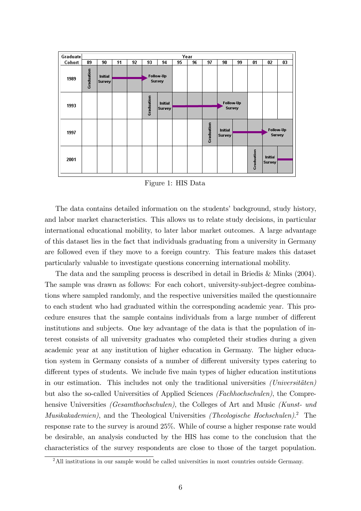| Graduate |            |                |    |    |            |               |    | Year |            |                                 |           |            |                                 |    |
|----------|------------|----------------|----|----|------------|---------------|----|------|------------|---------------------------------|-----------|------------|---------------------------------|----|
| Cohort   | 89         | 90             | 91 | 92 | 93         | 94            | 95 | 96   | 97         | 98                              | 99        | 01         | 02                              | 03 |
| 1989     | Graduation | <b>Initial</b> |    |    |            | Follow-Up     |    |      |            |                                 |           |            |                                 |    |
|          |            | <b>Survey</b>  |    |    |            | <b>Survey</b> |    |      |            |                                 |           |            |                                 |    |
| 1993     |            |                |    |    | Graduation | Initial       |    |      |            |                                 | Follow-Up |            |                                 |    |
|          |            |                |    |    |            | <b>Survey</b> |    |      |            | <b>Survey</b>                   |           |            |                                 |    |
| 1997     |            |                |    |    |            |               |    |      | Graduation | <b>Initial</b><br><b>Survey</b> |           |            | Follow-Up<br><b>Survey</b>      |    |
|          |            |                |    |    |            |               |    |      |            |                                 |           |            |                                 |    |
| 2001     |            |                |    |    |            |               |    |      |            |                                 |           | Graduation | <b>Initial</b><br><b>Survey</b> |    |

Figure 1: HIS Data

The data contains detailed information on the students' background, study history, and labor market characteristics. This allows us to relate study decisions, in particular international educational mobility, to later labor market outcomes. A large advantage of this dataset lies in the fact that individuals graduating from a university in Germany are followed even if they move to a foreign country. This feature makes this dataset particularly valuable to investigate questions concerning international mobility.

The data and the sampling process is described in detail in Briedis & Minks (2004). The sample was drawn as follows: For each cohort, university-subject-degree combinations where sampled randomly, and the respective universities mailed the questionnaire to each student who had graduated within the corresponding academic year. This procedure ensures that the sample contains individuals from a large number of different institutions and subjects. One key advantage of the data is that the population of interest consists of all university graduates who completed their studies during a given academic year at any institution of higher education in Germany. The higher education system in Germany consists of a number of different university types catering to different types of students. We include five main types of higher education institutions in our estimation. This includes not only the traditional universities  $(Universitäten)$ but also the so-called Universities of Applied Sciences (Fachhochschulen), the Comprehensive Universities (Gesamthochschulen), the Colleges of Art and Music (Kunst- und Musikakademien), and the Theological Universities (Theologische Hochschulen).<sup>2</sup> The response rate to the survey is around 25%. While of course a higher response rate would be desirable, an analysis conducted by the HIS has come to the conclusion that the characteristics of the survey respondents are close to those of the target population.

<sup>&</sup>lt;sup>2</sup>All institutions in our sample would be called universities in most countries outside Germany.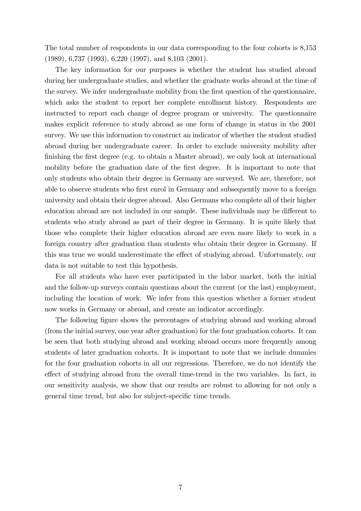The total number of respondents in our data corresponding to the four cohorts is 8,153 (1989), 6,737 (1993), 6,220 (1997), and 8,103 (2001).

The key information for our purposes is whether the student has studied abroad during her undergraduate studies, and whether the graduate works abroad at the time of the survey. We infer undergraduate mobility from the Örst question of the questionnaire, which asks the student to report her complete enrollment history. Respondents are instructed to report each change of degree program or university. The questionnaire makes explicit reference to study abroad as one form of change in status in the 2001 survey. We use this information to construct an indicator of whether the student studied abroad during her undergraduate career. In order to exclude university mobility after finishing the first degree (e.g. to obtain a Master abroad), we only look at international mobility before the graduation date of the first degree. It is important to note that only students who obtain their degree in Germany are surveyed. We are, therefore, not able to observe students who first enrol in Germany and subsequently move to a foreign university and obtain their degree abroad. Also Germans who complete all of their higher education abroad are not included in our sample. These individuals may be different to students who study abroad as part of their degree in Germany. It is quite likely that those who complete their higher education abroad are even more likely to work in a foreign country after graduation than students who obtain their degree in Germany. If this was true we would underestimate the effect of studying abroad. Unfortunately, our data is not suitable to test this hypothesis.

For all students who have ever participated in the labor market, both the initial and the follow-up surveys contain questions about the current (or the last) employment, including the location of work. We infer from this question whether a former student now works in Germany or abroad, and create an indicator accordingly.

The following figure shows the percentages of studying abroad and working abroad (from the initial survey, one year after graduation) for the four graduation cohorts. It can be seen that both studying abroad and working abroad occurs more frequently among students of later graduation cohorts. It is important to note that we include dummies for the four graduation cohorts in all our regressions. Therefore, we do not identify the effect of studying abroad from the overall time-trend in the two variables. In fact, in our sensitivity analysis, we show that our results are robust to allowing for not only a general time trend, but also for subject-specific time trends.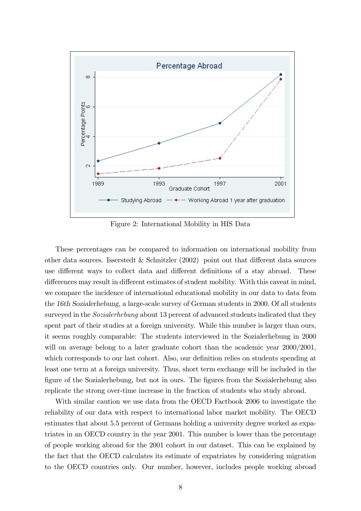

Figure 2: International Mobility in HIS Data

These percentages can be compared to information on international mobility from other data sources. Isserstedt & Schnitzler  $(2002)$  point out that different data sources use different ways to collect data and different definitions of a stay abroad. These differences may result in different estimates of student mobility. With this caveat in mind, we compare the incidence of international educational mobility in our data to data from the 16th Sozialerhebung, a large-scale survey of German students in 2000. Of all students surveyed in the *Sozialerhebung* about 13 percent of advanced students indicated that they spent part of their studies at a foreign university. While this number is larger than ours, it seems roughly comparable: The students interviewed in the Sozialerhebung in 2000 will on average belong to a later graduate cohort than the academic year  $2000/2001$ , which corresponds to our last cohort. Also, our definition relies on students spending at least one term at a foreign university. Thus, short term exchange will be included in the figure of the Sozialerhebung, but not in ours. The figures from the Sozialerhebung also replicate the strong over-time increase in the fraction of students who study abroad.

With similar caution we use data from the OECD Factbook 2006 to investigate the reliability of our data with respect to international labor market mobility. The OECD estimates that about 5.5 percent of Germans holding a university degree worked as expatriates in an OECD country in the year 2001. This number is lower than the percentage of people working abroad for the 2001 cohort in our dataset. This can be explained by the fact that the OECD calculates its estimate of expatriates by considering migration to the OECD countries only. Our number, however, includes people working abroad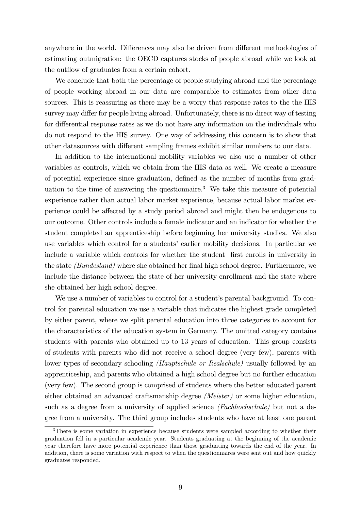anywhere in the world. Differences may also be driven from different methodologies of estimating outmigration: the OECD captures stocks of people abroad while we look at the outflow of graduates from a certain cohort.

We conclude that both the percentage of people studying abroad and the percentage of people working abroad in our data are comparable to estimates from other data sources. This is reassuring as there may be a worry that response rates to the the HIS survey may differ for people living abroad. Unfortunately, there is no direct way of testing for differential response rates as we do not have any information on the individuals who do not respond to the HIS survey. One way of addressing this concern is to show that other datasources with different sampling frames exhibit similar numbers to our data.

In addition to the international mobility variables we also use a number of other variables as controls, which we obtain from the HIS data as well. We create a measure of potential experience since graduation, defined as the number of months from graduation to the time of answering the questionnaire.<sup>3</sup> We take this measure of potential experience rather than actual labor market experience, because actual labor market experience could be affected by a study period abroad and might then be endogenous to our outcome. Other controls include a female indicator and an indicator for whether the student completed an apprenticeship before beginning her university studies. We also use variables which control for a students' earlier mobility decisions. In particular we include a variable which controls for whether the student first enrolls in university in the state *(Bundesland)* where she obtained her final high school degree. Furthermore, we include the distance between the state of her university enrollment and the state where she obtained her high school degree.

We use a number of variables to control for a student's parental background. To control for parental education we use a variable that indicates the highest grade completed by either parent, where we split parental education into three categories to account for the characteristics of the education system in Germany. The omitted category contains students with parents who obtained up to 13 years of education. This group consists of students with parents who did not receive a school degree (very few), parents with lower types of secondary schooling *(Hauptschule or Realschule)* usually followed by an apprenticeship, and parents who obtained a high school degree but no further education (very few). The second group is comprised of students where the better educated parent either obtained an advanced craftsmanship degree (Meister) or some higher education, such as a degree from a university of applied science *(Fachhochschule)* but not a degree from a university. The third group includes students who have at least one parent

<sup>&</sup>lt;sup>3</sup>There is some variation in experience because students were sampled according to whether their graduation fell in a particular academic year. Students graduating at the beginning of the academic year therefore have more potential experience than those graduating towards the end of the year. In addition, there is some variation with respect to when the questionnaires were sent out and how quickly graduates responded.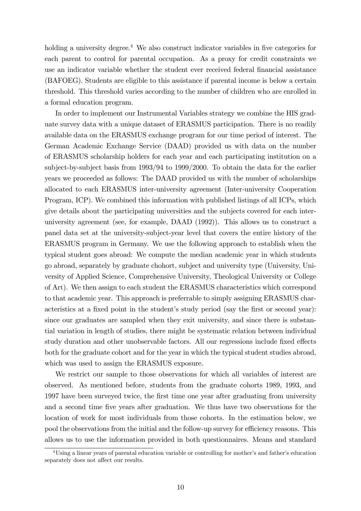holding a university degree.<sup>4</sup> We also construct indicator variables in five categories for each parent to control for parental occupation. As a proxy for credit constraints we use an indicator variable whether the student ever received federal financial assistance (BAFOEG). Students are eligible to this assistance if parental income is below a certain threshold. This threshold varies according to the number of children who are enrolled in a formal education program.

In order to implement our Instrumental Variables strategy we combine the HIS graduate survey data with a unique dataset of ERASMUS participation. There is no readily available data on the ERASMUS exchange program for our time period of interest. The German Academic Exchange Service (DAAD) provided us with data on the number of ERASMUS scholarship holders for each year and each participating institution on a subject-by-subject basis from 1993/94 to 1999/2000. To obtain the data for the earlier years we proceeded as follows: The DAAD provided us with the number of scholarships allocated to each ERASMUS inter-university agreement (Inter-university Cooperation Program, ICP). We combined this information with published listings of all ICPs, which give details about the participating universities and the subjects covered for each interuniversity agreement (see, for example, DAAD (1992)). This allows us to construct a panel data set at the university-subject-year level that covers the entire history of the ERASMUS program in Germany. We use the following approach to establish when the typical student goes abroad: We compute the median academic year in which students go abroad, separately by graduate chohort, subject and university type (University, University of Applied Science, Comprehensive University, Theological University or College of Art). We then assign to each student the ERASMUS characteristics which correspond to that academic year. This approach is preferrable to simply assigning ERASMUS characteristics at a fixed point in the student's study period (say the first or second year): since our graduates are sampled when they exit university, and since there is substantial variation in length of studies, there might be systematic relation between individual study duration and other unobservable factors. All our regressions include fixed effects both for the graduate cohort and for the year in which the typical student studies abroad, which was used to assign the ERASMUS exposure.

We restrict our sample to those observations for which all variables of interest are observed. As mentioned before, students from the graduate cohorts 1989, 1993, and 1997 have been surveyed twice, the Örst time one year after graduating from university and a second time five years after graduation. We thus have two observations for the location of work for most individuals from those cohorts. In the estimation below, we pool the observations from the initial and the follow-up survey for efficiency reasons. This allows us to use the information provided in both questionnaires. Means and standard

<sup>&</sup>lt;sup>4</sup>Using a linear years of parental education variable or controlling for mother's and father's education separately does not affect our results.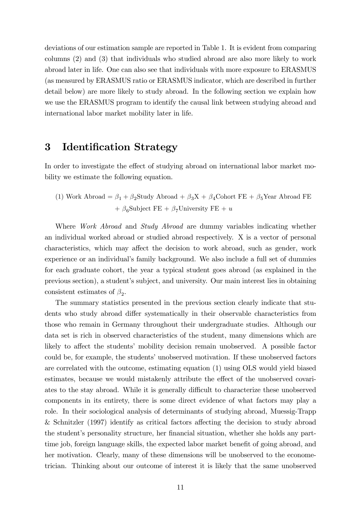deviations of our estimation sample are reported in Table 1. It is evident from comparing columns (2) and (3) that individuals who studied abroad are also more likely to work abroad later in life. One can also see that individuals with more exposure to ERASMUS (as measured by ERASMUS ratio or ERASMUS indicator, which are described in further detail below) are more likely to study abroad. In the following section we explain how we use the ERASMUS program to identify the causal link between studying abroad and international labor market mobility later in life.

# 3 Identification Strategy

In order to investigate the effect of studying abroad on international labor market mobility we estimate the following equation.

(1) Work Abroad =  $\beta_1 + \beta_2$ Study Abroad +  $\beta_3 X + \beta_4$ Cohort FE +  $\beta_5$ Year Abroad FE +  $\beta_6$ Subject FE +  $\beta_7$ University FE + u

Where *Work Abroad* and *Study Abroad* are dummy variables indicating whether an individual worked abroad or studied abroad respectively. X is a vector of personal characteristics, which may affect the decision to work abroad, such as gender, work experience or an individual's family background. We also include a full set of dummies for each graduate cohort, the year a typical student goes abroad (as explained in the previous section), a student's subject, and university. Our main interest lies in obtaining consistent estimates of  $\beta_2$ .

The summary statistics presented in the previous section clearly indicate that students who study abroad differ systematically in their observable characteristics from those who remain in Germany throughout their undergraduate studies. Although our data set is rich in observed characteristics of the student, many dimensions which are likely to affect the students' mobility decision remain unobserved. A possible factor could be, for example, the students' unobserved motivation. If these unobserved factors are correlated with the outcome, estimating equation (1) using OLS would yield biased estimates, because we would mistakenly attribute the effect of the unobserved covariates to the stay abroad. While it is generally difficult to characterize these unobserved components in its entirety, there is some direct evidence of what factors may play a role. In their sociological analysis of determinants of studying abroad, Muessig-Trapp & Schnitzler (1997) identify as critical factors affecting the decision to study abroad the student's personality structure, her financial situation, whether she holds any parttime job, foreign language skills, the expected labor market benefit of going abroad, and her motivation. Clearly, many of these dimensions will be unobserved to the econometrician. Thinking about our outcome of interest it is likely that the same unobserved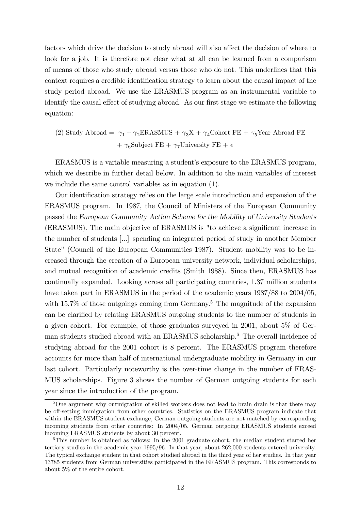factors which drive the decision to study abroad will also affect the decision of where to look for a job. It is therefore not clear what at all can be learned from a comparison of means of those who study abroad versus those who do not. This underlines that this context requires a credible identification strategy to learn about the causal impact of the study period abroad. We use the ERASMUS program as an instrumental variable to identify the causal effect of studying abroad. As our first stage we estimate the following equation:

(2) Study Abroad = 
$$
\gamma_1 + \gamma_2
$$
ERASMUS +  $\gamma_3 X + \gamma_4$ Cohort FE +  $\gamma_5$ Year Abroad FE +  $\gamma_6$ Subject FE +  $\gamma_7$ University FE +  $\epsilon$ 

ERASMUS is a variable measuring a student's exposure to the ERASMUS program, which we describe in further detail below. In addition to the main variables of interest we include the same control variables as in equation (1).

Our identification strategy relies on the large scale introduction and expansion of the ERASMUS program. In 1987, the Council of Ministers of the European Community passed the European Community Action Scheme for the Mobility of University Students (ERASMUS). The main objective of ERASMUS is "to achieve a significant increase in the number of students [...] spending an integrated period of study in another Member State" (Council of the European Communities 1987). Student mobility was to be increased through the creation of a European university network, individual scholarships, and mutual recognition of academic credits (Smith 1988). Since then, ERASMUS has continually expanded. Looking across all participating countries, 1.37 million students have taken part in ERASMUS in the period of the academic years  $1987/88$  to  $2004/05$ , with  $15.7\%$  of those outgoings coming from Germany.<sup>5</sup> The magnitude of the expansion can be clarified by relating ERASMUS outgoing students to the number of students in a given cohort. For example, of those graduates surveyed in 2001, about 5% of German students studied abroad with an ERASMUS scholarship.<sup>6</sup> The overall incidence of studying abroad for the 2001 cohort is 8 percent. The ERASMUS program therefore accounts for more than half of international undergraduate mobility in Germany in our last cohort. Particularly noteworthy is the over-time change in the number of ERAS-MUS scholarships. Figure 3 shows the number of German outgoing students for each year since the introduction of the program.

<sup>&</sup>lt;sup>5</sup>One argument why outmigration of skilled workers does not lead to brain drain is that there may be off-setting immigration from other countries. Statistics on the ERASMUS program indicate that within the ERASMUS student exchange, German outgoing students are not matched by corresponding incoming students from other countries: In 2004/05, German outgoing ERASMUS students exceed incoming ERASMUS students by about 30 percent.

 $6$ This number is obtained as follows: In the 2001 graduate cohort, the median student started her tertiary studies in the academic year 1995/96. In that year, about 262,000 students entered university. The typical exchange student in that cohort studied abroad in the third year of her studies. In that year 13785 students from German universities participated in the ERASMUS program. This corresponds to about 5% of the entire cohort.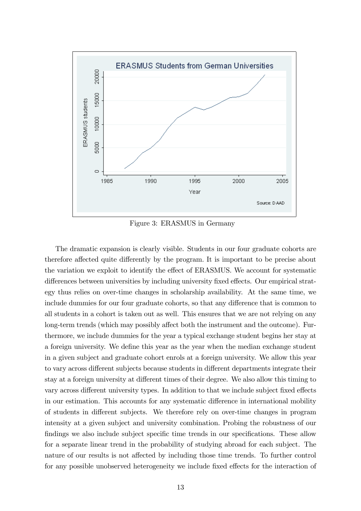

Figure 3: ERASMUS in Germany

The dramatic expansion is clearly visible. Students in our four graduate cohorts are therefore affected quite differently by the program. It is important to be precise about the variation we exploit to identify the effect of ERASMUS. We account for systematic differences between universities by including university fixed effects. Our empirical strategy thus relies on over-time changes in scholarship availability. At the same time, we include dummies for our four graduate cohorts, so that any difference that is common to all students in a cohort is taken out as well. This ensures that we are not relying on any long-term trends (which may possibly affect both the instrument and the outcome). Furthermore, we include dummies for the year a typical exchange student begins her stay at a foreign university. We define this year as the year when the median exchange student in a given subject and graduate cohort enrols at a foreign university. We allow this year to vary across different subjects because students in different departments integrate their stay at a foreign university at different times of their degree. We also allow this timing to vary across different university types. In addition to that we include subject fixed effects in our estimation. This accounts for any systematic difference in international mobility of students in different subjects. We therefore rely on over-time changes in program intensity at a given subject and university combination. Probing the robustness of our findings we also include subject specific time trends in our specifications. These allow for a separate linear trend in the probability of studying abroad for each subject. The nature of our results is not affected by including those time trends. To further control for any possible unobserved heterogeneity we include fixed effects for the interaction of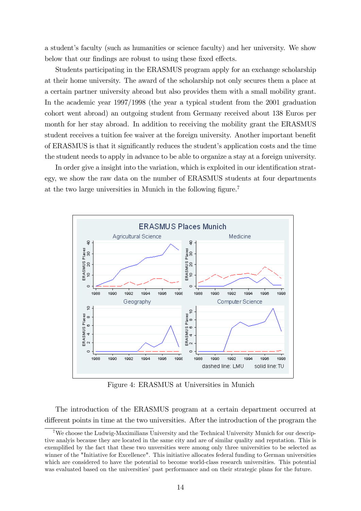a student's faculty (such as humanities or science faculty) and her university. We show below that our findings are robust to using these fixed effects.

Students participating in the ERASMUS program apply for an exchange scholarship at their home university. The award of the scholarship not only secures them a place at a certain partner university abroad but also provides them with a small mobility grant. In the academic year 1997/1998 (the year a typical student from the 2001 graduation cohort went abroad) an outgoing student from Germany received about 138 Euros per month for her stay abroad. In addition to receiving the mobility grant the ERASMUS student receives a tuition fee waiver at the foreign university. Another important benefit of ERASMUS is that it significantly reduces the student's application costs and the time the student needs to apply in advance to be able to organize a stay at a foreign university.

In order give a insight into the variation, which is exploited in our identification strategy, we show the raw data on the number of ERASMUS students at four departments at the two large universities in Munich in the following figure.<sup>7</sup>



Figure 4: ERASMUS at Universities in Munich

The introduction of the ERASMUS program at a certain department occurred at different points in time at the two universities. After the introduction of the program the

<sup>7</sup>We choose the Ludwig-Maximilians University and the Technical University Munich for our descriptive analyis because they are located in the same city and are of similar quality and reputation. This is exemplified by the fact that these two unversities were among only three universities to be selected as winner of the "Initiative for Excellence". This initiative allocates federal funding to German universities which are considered to have the potential to become world-class research universities. This potential was evaluated based on the universities' past performance and on their strategic plans for the future.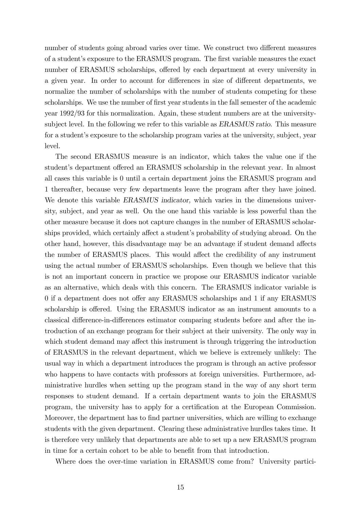number of students going abroad varies over time. We construct two different measures of a studentís exposure to the ERASMUS program. The Örst variable measures the exact number of ERASMUS scholarships, offered by each department at every university in a given year. In order to account for differences in size of different departments, we normalize the number of scholarships with the number of students competing for these scholarships. We use the number of first year students in the fall semester of the academic year 1992/93 for this normalization. Again, these student numbers are at the universitysubject level. In the following we refer to this variable as *ERASMUS* ratio. This measure for a student's exposure to the scholarship program varies at the university, subject, year level.

The second ERASMUS measure is an indicator, which takes the value one if the student's department offered an ERASMUS scholarship in the relevant year. In almost all cases this variable is 0 until a certain department joins the ERASMUS program and 1 thereafter, because very few departments leave the program after they have joined. We denote this variable *ERASMUS* indicator, which varies in the dimensions university, subject, and year as well. On the one hand this variable is less powerful than the other measure because it does not capture changes in the number of ERASMUS scholarships provided, which certainly affect a student's probability of studying abroad. On the other hand, however, this disadvantage may be an advantage if student demand affects the number of ERASMUS places. This would affect the credibility of any instrument using the actual number of ERASMUS scholarships. Even though we believe that this is not an important concern in practice we propose our ERASMUS indicator variable as an alternative, which deals with this concern. The ERASMUS indicator variable is 0 if a department does not offer any ERASMUS scholarships and 1 if any ERASMUS scholarship is offered. Using the ERASMUS indicator as an instrument amounts to a classical difference-in-differences estimator comparing students before and after the introduction of an exchange program for their subject at their university. The only way in which student demand may affect this instrument is through triggering the introduction of ERASMUS in the relevant department, which we believe is extremely unlikely: The usual way in which a department introduces the program is through an active professor who happens to have contacts with professors at foreign universities. Furthermore, administrative hurdles when setting up the program stand in the way of any short term responses to student demand. If a certain department wants to join the ERASMUS program, the university has to apply for a certification at the European Commission. Moreover, the department has to find partner universities, which are willing to exchange students with the given department. Clearing these administrative hurdles takes time. It is therefore very unlikely that departments are able to set up a new ERASMUS program in time for a certain cohort to be able to benefit from that introduction.

Where does the over-time variation in ERASMUS come from? University partici-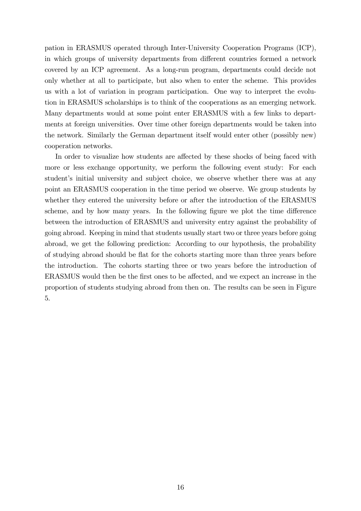pation in ERASMUS operated through Inter-University Cooperation Programs (ICP), in which groups of university departments from different countries formed a network covered by an ICP agreement. As a long-run program, departments could decide not only whether at all to participate, but also when to enter the scheme. This provides us with a lot of variation in program participation. One way to interpret the evolution in ERASMUS scholarships is to think of the cooperations as an emerging network. Many departments would at some point enter ERASMUS with a few links to departments at foreign universities. Over time other foreign departments would be taken into the network. Similarly the German department itself would enter other (possibly new) cooperation networks.

In order to visualize how students are affected by these shocks of being faced with more or less exchange opportunity, we perform the following event study: For each student's initial university and subject choice, we observe whether there was at any point an ERASMUS cooperation in the time period we observe. We group students by whether they entered the university before or after the introduction of the ERASMUS scheme, and by how many years. In the following figure we plot the time difference between the introduction of ERASMUS and university entry against the probability of going abroad. Keeping in mind that students usually start two or three years before going abroad, we get the following prediction: According to our hypothesis, the probability of studying abroad should be áat for the cohorts starting more than three years before the introduction. The cohorts starting three or two years before the introduction of ERASMUS would then be the first ones to be affected, and we expect an increase in the proportion of students studying abroad from then on. The results can be seen in Figure 5.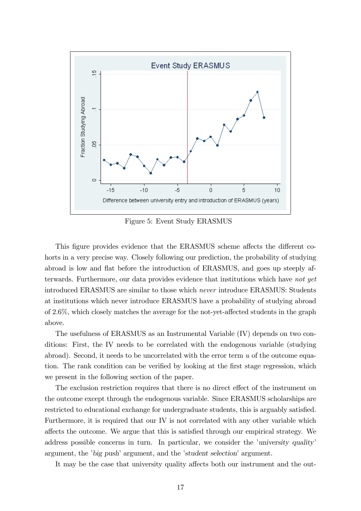

Figure 5: Event Study ERASMUS

This figure provides evidence that the ERASMUS scheme affects the different cohorts in a very precise way. Closely following our prediction, the probability of studying abroad is low and flat before the introduction of ERASMUS, and goes up steeply afterwards. Furthermore, our data provides evidence that institutions which have not yet introduced ERASMUS are similar to those which never introduce ERASMUS: Students at institutions which never introduce ERASMUS have a probability of studying abroad of  $2.6\%$ , which closely matches the average for the not-yet-affected students in the graph above.

The usefulness of ERASMUS as an Instrumental Variable (IV) depends on two conditions: First, the IV needs to be correlated with the endogenous variable (studying abroad). Second, it needs to be uncorrelated with the error term u of the outcome equation. The rank condition can be verified by looking at the first stage regression, which we present in the following section of the paper.

The exclusion restriction requires that there is no direct effect of the instrument on the outcome except through the endogenous variable. Since ERASMUS scholarships are restricted to educational exchange for undergraduate students, this is arguably satisfied. Furthermore, it is required that our IV is not correlated with any other variable which affects the outcome. We argue that this is satisfied through our empirical strategy. We address possible concerns in turn. In particular, we consider the *'university quality'* argument, the 'big push' argument, and the 'student selection' argument.

It may be the case that university quality affects both our instrument and the out-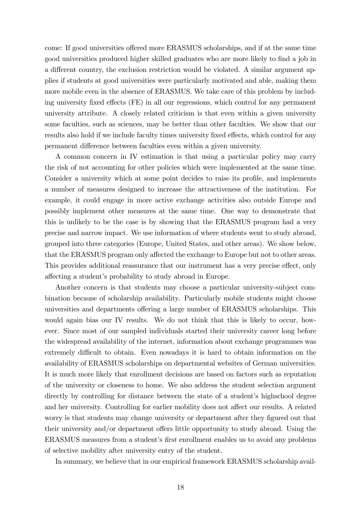come: If good universities offered more ERASMUS scholarships, and if at the same time good universities produced higher skilled graduates who are more likely to find a job in a different country, the exclusion restriction would be violated. A similar argument applies if students at good universities were particularly motivated and able, making them more mobile even in the absence of ERASMUS. We take care of this problem by including university fixed effects (FE) in all our regressions, which control for any permanent university attribute. A closely related criticism is that even within a given university some faculties, such as sciences, may be better than other faculties. We show that our results also hold if we include faculty times university fixed effects, which control for any permanent difference between faculties even within a given university.

A common concern in IV estimation is that using a particular policy may carry the risk of not accounting for other policies which were implemented at the same time. Consider a university which at some point decides to raise its profile, and implements a number of measures designed to increase the attractiveness of the institution. For example, it could engage in more active exchange activities also outside Europe and possibly implement other measures at the same time. One way to demonstrate that this is unlikely to be the case is by showing that the ERASMUS program had a very precise and narrow impact. We use information of where students went to study abroad, grouped into three categories (Europe, United States, and other areas). We show below, that the ERASMUS program only affected the exchange to Europe but not to other areas. This provides additional reassurance that our instrument has a very precise effect, only affecting a student's probability to study abroad in Europe.

Another concern is that students may choose a particular university-subject combination because of scholarship availability. Particularly mobile students might choose universities and departments offering a large number of ERASMUS scholarships. This would again bias our IV results. We do not think that this is likely to occur, however. Since most of our sampled individuals started their university career long before the widespread availability of the internet, information about exchange programmes was extremely difficult to obtain. Even nowadays it is hard to obtain information on the availability of ERASMUS scholarships on departmental websites of German universities. It is much more likely that enrollment decisions are based on factors such as reputation of the university or closeness to home. We also address the student selection argument directly by controlling for distance between the state of a student's highschool degree and her university. Controlling for earlier mobility does not affect our results. A related worry is that students may change university or department after they figured out that their university and/or department offers little opportunity to study abroad. Using the ERASMUS measures from a student's first enrollment enables us to avoid any problems of selective mobility after university entry of the student.

In summary, we believe that in our empirical framework ERASMUS scholarship avail-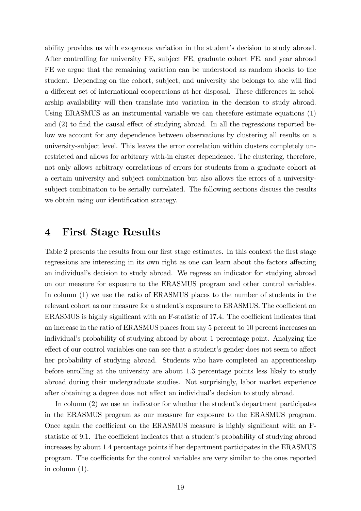ability provides us with exogenous variation in the student's decision to study abroad. After controlling for university FE, subject FE, graduate cohort FE, and year abroad FE we argue that the remaining variation can be understood as random shocks to the student. Depending on the cohort, subject, and university she belongs to, she will find a different set of international cooperations at her disposal. These differences in scholarship availability will then translate into variation in the decision to study abroad. Using ERASMUS as an instrumental variable we can therefore estimate equations (1) and  $(2)$  to find the causal effect of studying abroad. In all the regressions reported below we account for any dependence between observations by clustering all results on a university-subject level. This leaves the error correlation within clusters completely unrestricted and allows for arbitrary with-in cluster dependence. The clustering, therefore, not only allows arbitrary correlations of errors for students from a graduate cohort at a certain university and subject combination but also allows the errors of a universitysubject combination to be serially correlated. The following sections discuss the results we obtain using our identification strategy.

## 4 First Stage Results

Table 2 presents the results from our first stage estimates. In this context the first stage regressions are interesting in its own right as one can learn about the factors affecting an individual's decision to study abroad. We regress an indicator for studying abroad on our measure for exposure to the ERASMUS program and other control variables. In column (1) we use the ratio of ERASMUS places to the number of students in the relevant cohort as our measure for a student's exposure to ERASMUS. The coefficient on  $ERASMUS$  is highly significant with an F-statistic of 17.4. The coefficient indicates that an increase in the ratio of ERASMUS places from say 5 percent to 10 percent increases an individual's probability of studying abroad by about 1 percentage point. Analyzing the effect of our control variables one can see that a student's gender does not seem to affect her probability of studying abroad. Students who have completed an apprenticeship before enrolling at the university are about 1.3 percentage points less likely to study abroad during their undergraduate studies. Not surprisingly, labor market experience after obtaining a degree does not affect an individual's decision to study abroad.

In column  $(2)$  we use an indicator for whether the student's department participates in the ERASMUS program as our measure for exposure to the ERASMUS program. Once again the coefficient on the ERASMUS measure is highly significant with an Fstatistic of 9.1. The coefficient indicates that a student's probability of studying abroad increases by about 1.4 percentage points if her department participates in the ERASMUS program. The coefficients for the control variables are very similar to the ones reported in column (1).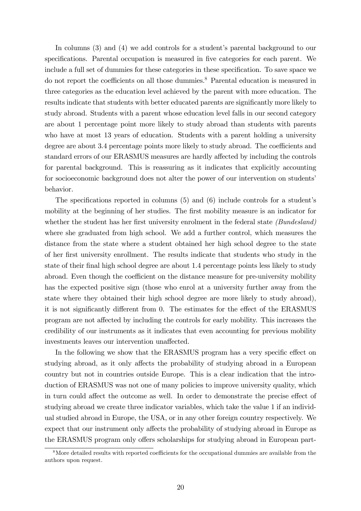In columns  $(3)$  and  $(4)$  we add controls for a student's parental background to our specifications. Parental occupation is measured in five categories for each parent. We include a full set of dummies for these categories in these specification. To save space we do not report the coefficients on all those dummies.<sup>8</sup> Parental education is measured in three categories as the education level achieved by the parent with more education. The results indicate that students with better educated parents are significantly more likely to study abroad. Students with a parent whose education level falls in our second category are about 1 percentage point more likely to study abroad than students with parents who have at most 13 years of education. Students with a parent holding a university degree are about 3.4 percentage points more likely to study abroad. The coefficients and standard errors of our ERASMUS measures are hardly affected by including the controls for parental background. This is reassuring as it indicates that explicitly accounting for socioeconomic background does not alter the power of our intervention on students' behavior.

The specifications reported in columns  $(5)$  and  $(6)$  include controls for a student's mobility at the beginning of her studies. The first mobility measure is an indicator for whether the student has her first university enrolment in the federal state  $(Bundesland)$ where she graduated from high school. We add a further control, which measures the distance from the state where a student obtained her high school degree to the state of her Örst university enrollment. The results indicate that students who study in the state of their final high school degree are about 1.4 percentage points less likely to study abroad. Even though the coefficient on the distance measure for pre-university mobility has the expected positive sign (those who enrol at a university further away from the state where they obtained their high school degree are more likely to study abroad), it is not significantly different from 0. The estimates for the effect of the ERASMUS program are not a§ected by including the controls for early mobility. This increases the credibility of our instruments as it indicates that even accounting for previous mobility investments leaves our intervention unaffected.

In the following we show that the ERASMUS program has a very specific effect on studying abroad, as it only affects the probability of studying abroad in a European country but not in countries outside Europe. This is a clear indication that the introduction of ERASMUS was not one of many policies to improve university quality, which in turn could affect the outcome as well. In order to demonstrate the precise effect of studying abroad we create three indicator variables, which take the value 1 if an individual studied abroad in Europe, the USA, or in any other foreign country respectively. We expect that our instrument only affects the probability of studying abroad in Europe as the ERASMUS program only offers scholarships for studying abroad in European part-

 $8$ More detailed results with reported coefficients for the occupational dummies are available from the authors upon request.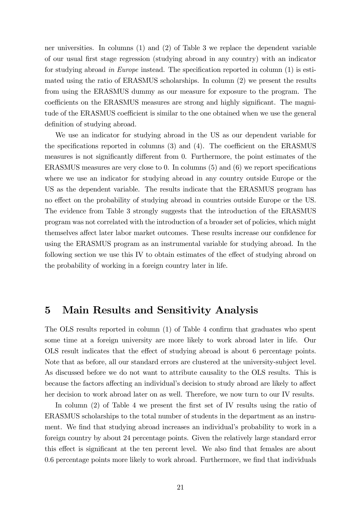ner universities. In columns (1) and (2) of Table 3 we replace the dependent variable of our usual Örst stage regression (studying abroad in any country) with an indicator for studying abroad in Europe instead. The specification reported in column  $(1)$  is estimated using the ratio of ERASMUS scholarships. In column (2) we present the results from using the ERASMUS dummy as our measure for exposure to the program. The coefficients on the ERASMUS measures are strong and highly significant. The magnitude of the ERASMUS coefficient is similar to the one obtained when we use the general definition of studying abroad.

We use an indicator for studying abroad in the US as our dependent variable for the specifications reported in columns  $(3)$  and  $(4)$ . The coefficient on the ERASMUS measures is not significantly different from 0. Furthermore, the point estimates of the ERASMUS measures are very close to 0. In columns  $(5)$  and  $(6)$  we report specifications where we use an indicator for studying abroad in any country outside Europe or the US as the dependent variable. The results indicate that the ERASMUS program has no effect on the probability of studying abroad in countries outside Europe or the US. The evidence from Table 3 strongly suggests that the introduction of the ERASMUS program was not correlated with the introduction of a broader set of policies, which might themselves affect later labor market outcomes. These results increase our confidence for using the ERASMUS program as an instrumental variable for studying abroad. In the following section we use this IV to obtain estimates of the effect of studying abroad on the probability of working in a foreign country later in life.

#### 5 Main Results and Sensitivity Analysis

The OLS results reported in column (1) of Table 4 confirm that graduates who spent some time at a foreign university are more likely to work abroad later in life. Our OLS result indicates that the effect of studying abroad is about 6 percentage points. Note that as before, all our standard errors are clustered at the university-subject level. As discussed before we do not want to attribute causality to the OLS results. This is because the factors affecting an individual's decision to study abroad are likely to affect her decision to work abroad later on as well. Therefore, we now turn to our IV results.

In column  $(2)$  of Table 4 we present the first set of IV results using the ratio of ERASMUS scholarships to the total number of students in the department as an instrument. We find that studying abroad increases an individual's probability to work in a foreign country by about 24 percentage points. Given the relatively large standard error this effect is significant at the ten percent level. We also find that females are about 0.6 percentage points more likely to work abroad. Furthermore, we find that individuals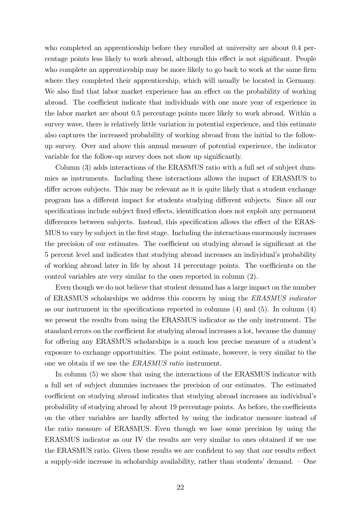who completed an apprenticeship before they enrolled at university are about 0.4 percentage points less likely to work abroad, although this effect is not significant. People who complete an apprenticeship may be more likely to go back to work at the same firm where they completed their apprenticeship, which will usually be located in Germany. We also find that labor market experience has an effect on the probability of working abroad. The coefficient indicate that individuals with one more year of experience in the labor market are about 0.5 percentage points more likely to work abroad. Within a survey wave, there is relatively little variation in potential experience, and this estimate also captures the increased probability of working abroad from the initial to the followup survey. Over and above this annual measure of potential experience, the indicator variable for the follow-up survey does not show up significantly.

Column (3) adds interactions of the ERASMUS ratio with a full set of subject dummies as instruments. Including these interactions allows the impact of ERASMUS to differ across subjects. This may be relevant as it is quite likely that a student exchange program has a different impact for students studying different subjects. Since all our specifications include subject fixed effects, identification does not exploit any permanent differences between subjects. Instead, this specification allows the effect of the ERAS-MUS to vary by subject in the Örst stage. Including the interactions enormously increases the precision of our estimates. The coefficient on studying abroad is significant at the 5 percent level and indicates that studying abroad increases an individualís probability of working abroad later in life by about 14 percentage points. The coefficients on the control variables are very similar to the ones reported in column (2).

Even though we do not believe that student demand has a large impact on the number of ERASMUS scholarships we address this concern by using the ERASMUS indicator as our instrument in the specifications reported in columns  $(4)$  and  $(5)$ . In column  $(4)$ we present the results from using the ERASMUS indicator as the only instrument. The standard errors on the coefficient for studying abroad increases a lot, because the dummy for offering any ERASMUS scholarships is a much less precise measure of a student's exposure to exchange opportunities. The point estimate, however, is very similar to the one we obtain if we use the ERASMUS ratio instrument.

In column (5) we show that using the interactions of the ERASMUS indicator with a full set of subject dummies increases the precision of our estimates. The estimated coefficient on studying abroad indicates that studying abroad increases an individual's probability of studying abroad by about 19 percentage points. As before, the coefficients on the other variables are hardly affected by using the indicator measure instead of the ratio measure of ERASMUS. Even though we lose some precision by using the ERASMUS indicator as our IV the results are very similar to ones obtained if we use the ERASMUS ratio. Given these results we are confident to say that our results reflect a supply-side increase in scholarship availability, rather than students' demand.  $\sim$  One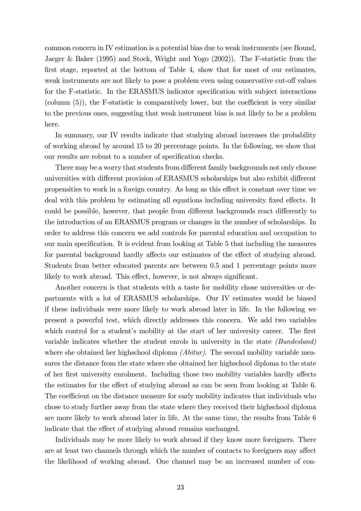common concern in IV estimation is a potential bias due to weak instruments (see Bound, Jaeger & Baker (1995) and Stock, Wright and Yogo (2002)). The F-statistic from the first stage, reported at the bottom of Table 4, show that for most of our estimates, weak instruments are not likely to pose a problem even using conservative cut-off values for the F-statistic. In the ERASMUS indicator specification with subject interactions (column  $(5)$ ), the F-statistic is comparatively lower, but the coefficient is very similar to the previous ones, suggesting that weak instrument bias is not likely to be a problem here.

In summary, our IV results indicate that studying abroad increases the probability of working abroad by around 15 to 20 percentage points. In the following, we show that our results are robust to a number of specification checks.

There may be a worry that students from different family backgrounds not only choose universities with different provision of ERASMUS scholarships but also exhibit different propensities to work in a foreign country. As long as this effect is constant over time we deal with this problem by estimating all equations including university fixed effects. It could be possible, however, that people from different backgrounds react differently to the introduction of an ERASMUS program or changes in the number of scholarships. In order to address this concern we add controls for parental education and occupation to our main specification. It is evident from looking at Table 5 that including the measures for parental background hardly affects our estimates of the effect of studying abroad. Students from better educated parents are between 0.5 and 1 percentage points more likely to work abroad. This effect, however, is not always significant.

Another concern is that students with a taste for mobility chose universities or departments with a lot of ERASMUS scholarships. Our IV estimates would be biased if these individuals were more likely to work abroad later in life. In the following we present a powerful test, which directly addresses this concern. We add two variables which control for a student's mobility at the start of her university career. The first variable indicates whether the student enrols in university in the state (Bundesland) where she obtained her highschool diploma *(Abitur)*. The second mobility variable measures the distance from the state where she obtained her highschool diploma to the state of her first university enrolment. Including those two mobility variables hardly affects the estimates for the effect of studying abroad as can be seen from looking at Table 6. The coefficient on the distance measure for early mobility indicates that individuals who chose to study further away from the state where they received their highschool diploma are more likely to work abroad later in life. At the same time, the results from Table 6 indicate that the effect of studying abroad remains unchanged.

Individuals may be more likely to work abroad if they know more foreigners. There are at least two channels through which the number of contacts to foreigners may affect the likelihood of working abroad. One channel may be an increased number of con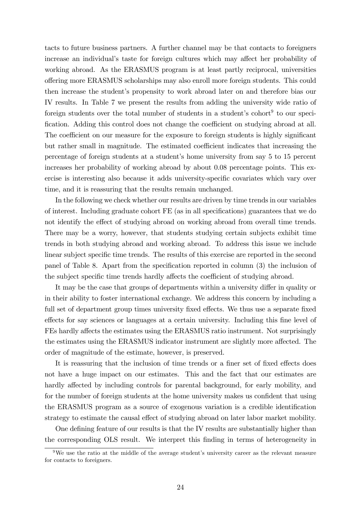tacts to future business partners. A further channel may be that contacts to foreigners increase an individual's taste for foreign cultures which may affect her probability of working abroad. As the ERASMUS program is at least partly reciprocal, universities offering more ERASMUS scholarships may also enroll more foreign students. This could then increase the studentís propensity to work abroad later on and therefore bias our IV results. In Table 7 we present the results from adding the university wide ratio of foreign students over the total number of students in a student's cohort<sup>9</sup> to our specification. Adding this control does not change the coefficient on studying abroad at all. The coefficient on our measure for the exposure to foreign students is highly significant but rather small in magnitude. The estimated coefficient indicates that increasing the percentage of foreign students at a student's home university from say 5 to 15 percent increases her probability of working abroad by about 0.08 percentage points. This exercise is interesting also because it adds university-specific covariates which vary over time, and it is reassuring that the results remain unchanged.

In the following we check whether our results are driven by time trends in our variables of interest. Including graduate cohort FE (as in all specifications) guarantees that we do not identify the effect of studying abroad on working abroad from overall time trends. There may be a worry, however, that students studying certain subjects exhibit time trends in both studying abroad and working abroad. To address this issue we include linear subject specific time trends. The results of this exercise are reported in the second panel of Table 8. Apart from the specification reported in column (3) the inclusion of the subject specific time trends hardly affects the coefficient of studying abroad.

It may be the case that groups of departments within a university differ in quality or in their ability to foster international exchange. We address this concern by including a full set of department group times university fixed effects. We thus use a separate fixed effects for say sciences or languages at a certain university. Including this fine level of FEs hardly affects the estimates using the ERASMUS ratio instrument. Not surprisingly the estimates using the ERASMUS indicator instrument are slightly more affected. The order of magnitude of the estimate, however, is preserved.

It is reassuring that the inclusion of time trends or a finer set of fixed effects does not have a huge impact on our estimates. This and the fact that our estimates are hardly affected by including controls for parental background, for early mobility, and for the number of foreign students at the home university makes us confident that using the ERASMUS program as a source of exogenous variation is a credible identification strategy to estimate the causal effect of studying abroad on later labor market mobility.

One defining feature of our results is that the IV results are substantially higher than the corresponding OLS result. We interpret this finding in terms of heterogeneity in

 $9$ We use the ratio at the middle of the average student's university career as the relevant measure for contacts to foreigners.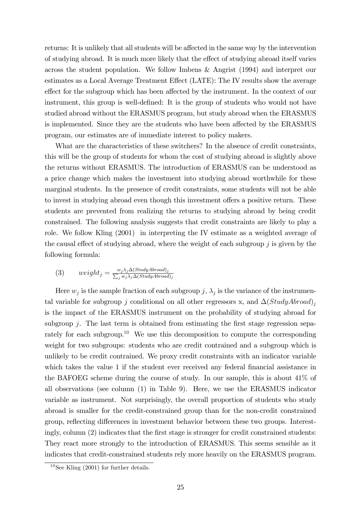returns: It is unlikely that all students will be affected in the same way by the intervention of studying abroad. It is much more likely that the effect of studying abroad itself varies across the student population. We follow Imbens & Angrist (1994) and interpret our estimates as a Local Average Treatment Effect (LATE): The IV results show the average effect for the subgroup which has been affected by the instrument. In the context of our instrument, this group is well-defined: It is the group of students who would not have studied abroad without the ERASMUS program, but study abroad when the ERASMUS is implemented. Since they are the students who have been affected by the ERASMUS program, our estimates are of immediate interest to policy makers.

What are the characteristics of these switchers? In the absence of credit constraints, this will be the group of students for whom the cost of studying abroad is slightly above the returns without ERASMUS. The introduction of ERASMUS can be understood as a price change which makes the investment into studying abroad worthwhile for these marginal students. In the presence of credit constraints, some students will not be able to invest in studying abroad even though this investment offers a positive return. These students are prevented from realizing the returns to studying abroad by being credit constrained. The following analysis suggests that credit constraints are likely to play a role. We follow Kling (2001) in interpreting the IV estimate as a weighted average of the causal effect of studying abroad, where the weight of each subgroup  $j$  is given by the following formula:

(3) 
$$
weight_j = \frac{w_j \lambda_j \Delta (StudyAbroad)_j}{\sum_j w_j \lambda_j \Delta (StudyAbroad)_j}
$$

Here  $w_j$  is the sample fraction of each subgroup  $j, \lambda_j$  is the variance of the instrumental variable for subgroup j conditional on all other regressors x, and  $\Delta(StudyAbroad)_i$ is the impact of the ERASMUS instrument on the probability of studying abroad for subgroup  $i$ . The last term is obtained from estimating the first stage regression separately for each subgroup.<sup>10</sup> We use this decomposition to compute the corresponding weight for two subgroups: students who are credit contrained and a subgroup which is unlikely to be credit contrained. We proxy credit constraints with an indicator variable which takes the value 1 if the student ever received any federal financial assistance in the BAFOEG scheme during the course of study. In our sample, this is about 41% of all observations (see column (1) in Table 9). Here, we use the ERASMUS indicator variable as instrument. Not surprisingly, the overall proportion of students who study abroad is smaller for the credit-constrained group than for the non-credit constrained group, reflecting differences in investment behavior between these two groups. Interestingly, column (2) indicates that the first stage is stronger for credit constrained students: They react more strongly to the introduction of ERASMUS. This seems sensible as it indicates that credit-constrained students rely more heavily on the ERASMUS program.

 $10$ See Kling (2001) for further details.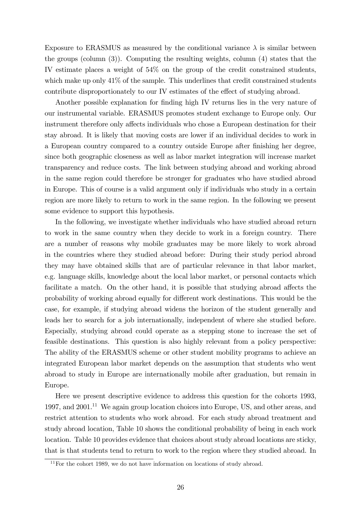Exposure to ERASMUS as measured by the conditional variance  $\lambda$  is similar between the groups (column (3)). Computing the resulting weights, column (4) states that the IV estimate places a weight of 54% on the group of the credit constrained students, which make up only  $41\%$  of the sample. This underlines that credit constrained students contribute disproportionately to our IV estimates of the effect of studying abroad.

Another possible explanation for finding high IV returns lies in the very nature of our instrumental variable. ERASMUS promotes student exchange to Europe only. Our instrument therefore only affects individuals who chose a European destination for their stay abroad. It is likely that moving costs are lower if an individual decides to work in a European country compared to a country outside Europe after Önishing her degree, since both geographic closeness as well as labor market integration will increase market transparency and reduce costs. The link between studying abroad and working abroad in the same region could therefore be stronger for graduates who have studied abroad in Europe. This of course is a valid argument only if individuals who study in a certain region are more likely to return to work in the same region. In the following we present some evidence to support this hypothesis.

In the following, we investigate whether individuals who have studied abroad return to work in the same country when they decide to work in a foreign country. There are a number of reasons why mobile graduates may be more likely to work abroad in the countries where they studied abroad before: During their study period abroad they may have obtained skills that are of particular relevance in that labor market, e.g. language skills, knowledge about the local labor market, or personal contacts which facilitate a match. On the other hand, it is possible that studying abroad affects the probability of working abroad equally for different work destinations. This would be the case, for example, if studying abroad widens the horizon of the student generally and leads her to search for a job internationally, independent of where she studied before. Especially, studying abroad could operate as a stepping stone to increase the set of feasible destinations. This question is also highly relevant from a policy perspective: The ability of the ERASMUS scheme or other student mobility programs to achieve an integrated European labor market depends on the assumption that students who went abroad to study in Europe are internationally mobile after graduation, but remain in Europe.

Here we present descriptive evidence to address this question for the cohorts 1993, 1997, and 2001.<sup>11</sup> We again group location choices into Europe, US, and other areas, and restrict attention to students who work abroad. For each study abroad treatment and study abroad location, Table 10 shows the conditional probability of being in each work location. Table 10 provides evidence that choices about study abroad locations are sticky, that is that students tend to return to work to the region where they studied abroad. In

 $11$ For the cohort 1989, we do not have information on locations of study abroad.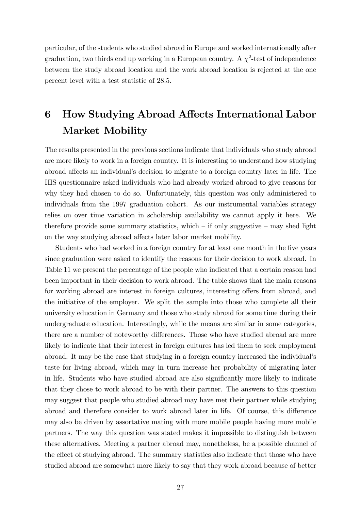particular, of the students who studied abroad in Europe and worked internationally after graduation, two thirds end up working in a European country. A  $\chi^2$ -test of independence between the study abroad location and the work abroad location is rejected at the one percent level with a test statistic of 28.5.

# 6 How Studying Abroad Affects International Labor Market Mobility

The results presented in the previous sections indicate that individuals who study abroad are more likely to work in a foreign country. It is interesting to understand how studying abroad affects an individual's decision to migrate to a foreign country later in life. The HIS questionnaire asked individuals who had already worked abroad to give reasons for why they had chosen to do so. Unfortunately, this question was only administered to individuals from the 1997 graduation cohort. As our instrumental variables strategy relies on over time variation in scholarship availability we cannot apply it here. We therefore provide some summary statistics, which  $\overline{\phantom{a}}$  only suggestive  $\overline{\phantom{a}}$  may shed light on the way studying abroad affects later labor market mobility.

Students who had worked in a foreign country for at least one month in the five years since graduation were asked to identify the reasons for their decision to work abroad. In Table 11 we present the percentage of the people who indicated that a certain reason had been important in their decision to work abroad. The table shows that the main reasons for working abroad are interest in foreign cultures, interesting offers from abroad, and the initiative of the employer. We split the sample into those who complete all their university education in Germany and those who study abroad for some time during their undergraduate education. Interestingly, while the means are similar in some categories, there are a number of noteworthy differences. Those who have studied abroad are more likely to indicate that their interest in foreign cultures has led them to seek employment abroad. It may be the case that studying in a foreign country increased the individualís taste for living abroad, which may in turn increase her probability of migrating later in life. Students who have studied abroad are also significantly more likely to indicate that they chose to work abroad to be with their partner. The answers to this question may suggest that people who studied abroad may have met their partner while studying abroad and therefore consider to work abroad later in life. Of course, this difference may also be driven by assortative mating with more mobile people having more mobile partners. The way this question was stated makes it impossible to distinguish between these alternatives. Meeting a partner abroad may, nonetheless, be a possible channel of the effect of studying abroad. The summary statistics also indicate that those who have studied abroad are somewhat more likely to say that they work abroad because of better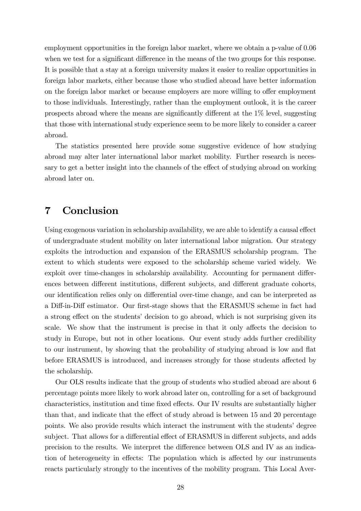employment opportunities in the foreign labor market, where we obtain a p-value of 0.06 when we test for a significant difference in the means of the two groups for this response. It is possible that a stay at a foreign university makes it easier to realize opportunities in foreign labor markets, either because those who studied abroad have better information on the foreign labor market or because employers are more willing to offer employment to those individuals. Interestingly, rather than the employment outlook, it is the career prospects abroad where the means are significantly different at the  $1\%$  level, suggesting that those with international study experience seem to be more likely to consider a career abroad.

The statistics presented here provide some suggestive evidence of how studying abroad may alter later international labor market mobility. Further research is necessary to get a better insight into the channels of the effect of studying abroad on working abroad later on.

# 7 Conclusion

Using exogenous variation in scholarship availability, we are able to identify a causal effect of undergraduate student mobility on later international labor migration. Our strategy exploits the introduction and expansion of the ERASMUS scholarship program. The extent to which students were exposed to the scholarship scheme varied widely. We exploit over time-changes in scholarship availability. Accounting for permanent differences between different institutions, different subjects, and different graduate cohorts, our identification relies only on differential over-time change, and can be interpreted as a Diff-in-Diff estimator. Our first-stage shows that the ERASMUS scheme in fact had a strong effect on the students' decision to go abroad, which is not surprising given its scale. We show that the instrument is precise in that it only affects the decision to study in Europe, but not in other locations. Our event study adds further credibility to our instrument, by showing that the probability of studying abroad is low and flat before ERASMUS is introduced, and increases strongly for those students affected by the scholarship.

Our OLS results indicate that the group of students who studied abroad are about 6 percentage points more likely to work abroad later on, controlling for a set of background characteristics, institution and time fixed effects. Our IV results are substantially higher than that, and indicate that the effect of study abroad is between 15 and 20 percentage points. We also provide results which interact the instrument with the students' degree subject. That allows for a differential effect of ERASMUS in different subjects, and adds precision to the results. We interpret the difference between OLS and IV as an indication of heterogeneity in effects: The population which is affected by our instruments reacts particularly strongly to the incentives of the mobility program. This Local Aver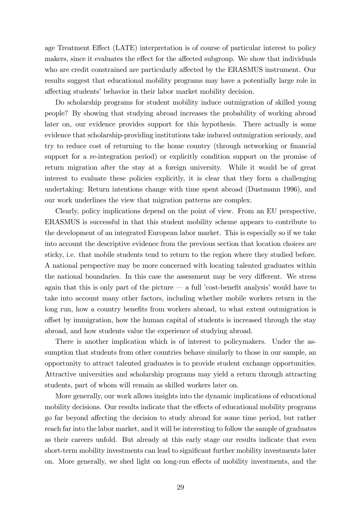age Treatment Effect (LATE) interpretation is of course of particular interest to policy makers, since it evaluates the effect for the affected subgroup. We show that individuals who are credit constrained are particularly affected by the ERASMUS instrument. Our results suggest that educational mobility programs may have a potentially large role in affecting students' behavior in their labor market mobility decision.

Do scholarship programs for student mobility induce outmigration of skilled young people? By showing that studying abroad increases the probability of working abroad later on, our evidence provides support for this hypothesis. There actually is some evidence that scholarship-providing institutions take induced outmigration seriously, and try to reduce cost of returning to the home country (through networking or financial support for a re-integration period) or explicitly condition support on the promise of return migration after the stay at a foreign university. While it would be of great interest to evaluate these policies explicitly, it is clear that they form a challenging undertaking: Return intentions change with time spent abroad (Dustmann 1996), and our work underlines the view that migration patterns are complex.

Clearly, policy implications depend on the point of view. From an EU perspective, ERASMUS is successful in that this student mobility scheme appears to contribute to the development of an integrated European labor market. This is especially so if we take into account the descriptive evidence from the previous section that location choices are sticky, i.e. that mobile students tend to return to the region where they studied before. A national perspective may be more concerned with locating talented graduates within the national boundaries. In this case the assessment may be very different. We stress again that this is only part of the picture  $\sim$  a full *cost-benefit analysis* would have to take into account many other factors, including whether mobile workers return in the long run, how a country benefits from workers abroad, to what extent outmigration is offset by immigration, how the human capital of students is increased through the stay abroad, and how students value the experience of studying abroad.

There is another implication which is of interest to policymakers. Under the assumption that students from other countries behave similarly to those in our sample, an opportunity to attract talented graduates is to provide student exchange opportunities. Attractive universities and scholarship programs may yield a return through attracting students, part of whom will remain as skilled workers later on.

More generally, our work allows insights into the dynamic implications of educational mobility decisions. Our results indicate that the effects of educational mobility programs go far beyond affecting the decision to study abroad for some time period, but rather reach far into the labor market, and it will be interesting to follow the sample of graduates as their careers unfold. But already at this early stage our results indicate that even short-term mobility investments can lead to significant further mobility investments later on. More generally, we shed light on long-run effects of mobility investments, and the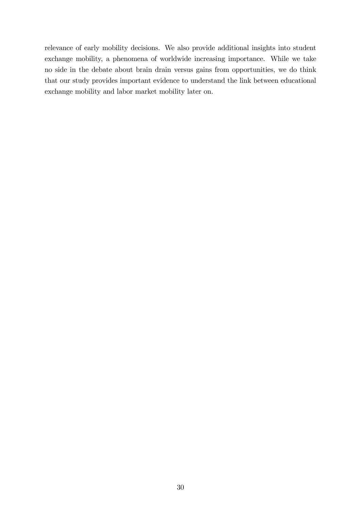relevance of early mobility decisions. We also provide additional insights into student exchange mobility, a phenomena of worldwide increasing importance. While we take no side in the debate about brain drain versus gains from opportunities, we do think that our study provides important evidence to understand the link between educational exchange mobility and labor market mobility later on.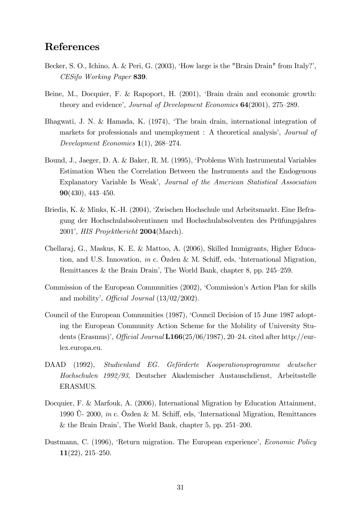# References

- Becker, S. O., Ichino, A. & Peri, G. (2003), 'How large is the "Brain Drain" from Italy?', CESifo Working Paper 839.
- Beine, M., Docquier, F. & Rapoport, H. (2001), 'Brain drain and economic growth: theory and evidence', Journal of Development Economics  $64(2001)$ ,  $275-289$ .
- Bhagwati, J. N. & Hamada, K. (1974), ëThe brain drain, international integration of markets for professionals and unemployment : A theoretical analysis', *Journal of* Development Economics  $1(1)$ , 268–274.
- Bound, J., Jaeger, D. A. & Baker, R. M. (1995), ëProblems With Instrumental Variables Estimation When the Correlation Between the Instruments and the Endogenous Explanatory Variable Is Weak', Journal of the American Statistical Association **90**(430), 443–450.
- Briedis, K. & Minks, K.-H. (2004), ëZwischen Hochschule und Arbeitsmarkt. Eine Befragung der Hochschulabsolventinnen und Hochschulabsolventen des Prüfungsjahres 2001í, HIS Projektbericht 2004(March).
- Chellaraj, G., Maskus, K. E. & Mattoo, A. (2006), Skilled Immigrants, Higher Education, and U.S. Innovation, in c. Özden & M. Schiff, eds, 'International Migration, Remittances & the Brain Drain<sup>'</sup>, The World Bank, chapter 8, pp.  $245-259$ .
- Commission of the European Communities (2002), 'Commission's Action Plan for skills and mobility'. *Official Journal*  $(13/02/2002)$ .
- Council of the European Communities (1987), 'Council Decision of 15 June 1987 adopting the European Community Action Scheme for the Mobility of University Students (Erasmus)<sup>'</sup>, *Official Journal* L166(25/06/1987), 20–24. cited after http://eurlex.europa.eu.
- DAAD (1992), Studienland EG. Geförderte Kooperationsprogramme deutscher Hochschulen 1992/93, Deutscher Akademischer Austauschdienst, Arbeitsstelle ERASMUS.
- Docquier, F. & Marfouk, A. (2006), International Migration by Education Attainment, 1990  $U-$  2000, *in* c. Özden & M. Schiff, eds, 'International Migration, Remittances & the Brain Drain', The World Bank, chapter 5, pp.  $251-200$ .
- Dustmann, C. (1996), 'Return migration. The European experience', *Economic Policy*  $11(22)$ ,  $215-250$ .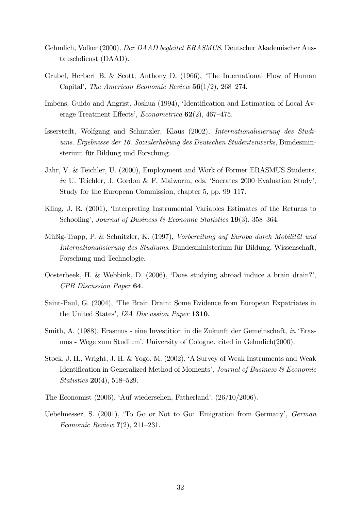- Gehmlich, Volker (2000), Der DAAD begleitet ERASMUS, Deutscher Akademischer Austauschdienst (DAAD).
- Grubel, Herbert B. & Scott, Anthony D. (1966), ëThe International Flow of Human Capital', The American Economic Review  $56(1/2)$ , 268–274.
- Imbens, Guido and Angrist, Joshua (1994), 'Identification and Estimation of Local Average Treatment Effects', Econometrica  $62(2)$ , 467–475.
- Isserstedt, Wolfgang and Schnitzler, Klaus (2002), Internationalisierung des Studiums. Ergebnisse der 16. Sozialerhebung des Deutschen Studentenwerks, Bundesminsterium für Bildung und Forschung.
- Jahr, V. & Teichler, U. (2000), Employment and Work of Former ERASMUS Students, in U. Teichler, J. Gordon & F. Maiworm, eds, 'Socrates 2000 Evaluation Study', Study for the European Commission, chapter 5, pp. 99–117.
- Kling, J. R. (2001), 'Interpreting Instrumental Variables Estimates of the Returns to Schooling', Journal of Business & Economic Statistics  $19(3)$ , 358–364.
- Müßig-Trapp, P. & Schnitzler, K. (1997), Vorbereitung auf Europa durch Mobilität und Internationalisierung des Studiums, Bundesministerium für Bildung, Wissenschaft, Forschung und Technologie.
- Oosterbeek, H. & Webbink, D. (2006), 'Does studying abroad induce a brain drain?', CPB Discussion Paper 64.
- Saint-Paul, G. (2004), ëThe Brain Drain: Some Evidence from European Expatriates in the United States', IZA Discussion Paper 1310.
- Smith, A. (1988), Erasmus eine Investition in die Zukunft der Gemeinschaft, in 'Erasmus - Wege zum Studiumí, University of Cologne. cited in Gehmlich(2000).
- Stock, J. H., Wright, J. H. & Yogo, M. (2002), ëA Survey of Weak Instruments and Weak Identification in Generalized Method of Moments', Journal of Business  $\mathcal E$  Economic *Statistics* **20**(4), 518–529.
- The Economist  $(2006)$ , 'Auf wiedersehen, Fatherland',  $(26/10/2006)$ .
- Uebelmesser, S. (2001), 'To Go or Not to Go: Emigration from Germany', German *Economic Review*  $7(2)$ , 211–231.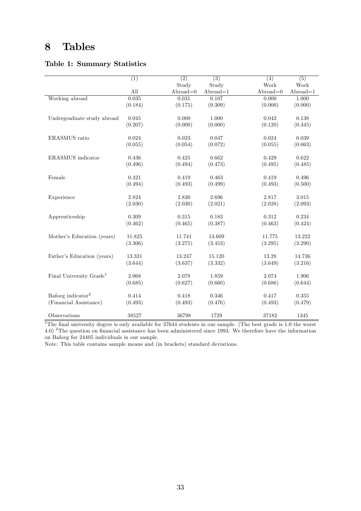# 8 Tables

#### Table 1: Summary Statistics

|                                     | $\overline{(1)}$ | $\overline{(2)}$ | $\overline{(3)}$ | $\overline{(4)}$ | $\overline{(5)}$ |
|-------------------------------------|------------------|------------------|------------------|------------------|------------------|
|                                     |                  | Study            | Study            | Work             | Work             |
|                                     | All              | $Abroad=0$       | $Abroad=1$       | $Abroad=0$       | $Abroad=1$       |
| Working abroad                      | 0.035            | 0.031            | 0.107            | 0.000            | 1.000            |
|                                     | (0.184)          | (0.175)          | (0.309)          | (0.000)          | (0.000)          |
|                                     |                  |                  |                  |                  |                  |
| Undergraduate study abroad          | 0.045            | 0.000            | 1.000            | 0.042            | 0.138            |
|                                     | (0.207)          | (0.000)          | (0.000)          | (0.120)          | (0.345)          |
|                                     |                  |                  |                  |                  |                  |
| ERASMUS ratio                       | 0.024            | 0.023            | 0.047            | 0.024            | 0.039            |
|                                     | (0.055)          | (0.054)          | (0.072)          | (0.055)          | (0.063)          |
| ERASMUS indicator                   | 0.436            | 0.425            | 0.662            | 0.429            | 0.622            |
|                                     | (0.496)          | (0.494)          | (0.473)          | (0.495)          | (0.485)          |
|                                     |                  |                  |                  |                  |                  |
| Female                              | 0.421            | 0.419            | 0.463            | 0.419            | 0.496            |
|                                     | (0.494)          | (0.493)          | (0.499)          | (0.493)          | (0.500)          |
|                                     |                  |                  |                  |                  |                  |
| Experience                          | 2.824            | 2.830            | 2.696            | 2.817            | 3.015            |
|                                     | (2.030)          | (2.030)          | (2.021)          | (2.028)          | (2.093)          |
|                                     |                  |                  |                  |                  |                  |
| Apprenticeship                      | 0.309            | 0.315            | 0.183            | 0.312            | 0.234            |
|                                     | (0.462)          | (0.465)          | (0.387)          | (0.463)          | (0.424)          |
| Mother's Education (years)          | 11.825           | 11.741           | 13.609           | 11.775           | 13.222           |
|                                     | (3.306)          | (3.275)          | (3.453)          | (3.295)          | (3.290)          |
|                                     |                  |                  |                  |                  |                  |
| Father's Education (years)          | 13.331           | 13.247           | 15.120           | 13.28            | 14.736           |
|                                     | (3.644)          | (3.637)          | (3.332)          | (3.649)          | (3.216)          |
|                                     |                  |                  |                  |                  |                  |
| Final University Grade <sup>1</sup> | 2.068            | 2.078            | 1.859            | 2.074            | 1.906            |
|                                     | (0.685)          | (0.627)          | (0.660)          | (0.686)          | (0.644)          |
| Bafoeg indicator <sup>2</sup>       |                  |                  | 0.346            |                  | 0.355            |
|                                     | 0.414            | 0.418            |                  | 0.417            |                  |
| (Financial Assistance)              | (0.493)          | (0.493)          | (0.476)          | (0.493)          | (0.479)          |
| Observations                        | 38527            | 36798            | 1729             | 37182            | 1345             |

<sup>1</sup>The final university degree is only available for  $37644$  students in our sample. (The best grade is 1.0 the worst 4.0) <sup>2</sup>The question on financial assistance has been administered since 1993. We therefore have the information on Bafoeg for 24405 individuals in our sample.

Note: This table contains sample means and (in brackets) standard deviations.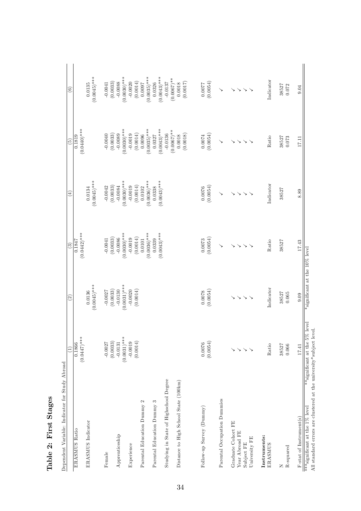| Dependent Variable: Indicator for Study Abroad                                                       | Ξ                                   | $\widehat{c}$                         | $\widehat{S}$               | $\overline{4}$              | $\widehat{5}$                       | $\widehat{\circ}$                          |
|------------------------------------------------------------------------------------------------------|-------------------------------------|---------------------------------------|-----------------------------|-----------------------------|-------------------------------------|--------------------------------------------|
| ERASMUS Ratio                                                                                        | 0.1866                              |                                       | 0.1847                      |                             | 0.1819                              |                                            |
|                                                                                                      | $(0.0447)$ ***                      |                                       | $(0.0442)$ ***              |                             | $(0.0440)***$                       |                                            |
| ERASMUS Indicator                                                                                    |                                     | $(0.0045)$ ***<br>0.0136              |                             | $(0.0045)$ ***<br>0.0134    |                                     | $(0.0045)$ ***<br>0.0135                   |
| Female                                                                                               | $-0.0027$                           | $-0.0027$                             | $-0.0041$                   | $-0.0042$                   | $-0.0040$                           | $-0.0041$<br>(0.0033)                      |
| Apprenticeship                                                                                       | (0.0033)<br>$-0.0131$               | (0.0033)<br>$-0.0130$                 | (0.0033)<br>$-0.0086$       | (0.0033)<br>$-0.0084$       | (0.0033)<br>$-0.0089$               | $-0.0088$                                  |
| Experience                                                                                           | $(0.0031)^***$<br>$-0.0019$         | $(0.0031)$ ***<br>$-0.0020$           | $(0.0030)$ ***<br>$-0.0019$ | $(0.0030)$ ***<br>$-0.0019$ | $(0.0030)$ ***<br>$-0.0019$         | $(0.0030)$ ***<br>$-0.0020$                |
| $\mathbf{\Omega}$<br>Parental Education Dummy                                                        | (0.0014)                            | (0.0014)                              | (0.0014)<br>0.0101          | (0.0014)<br>0.0102          | (0.0014)<br>0.0096                  | (0.0014)<br>16000                          |
| S<br>Parental Education Dummy                                                                        |                                     |                                       | $(0.0036)$ ***<br>0.0339    | $(0.0036)$ ***<br>0.0338    | $(0.0035)$ ***<br>0.0327            | $(0.0035)$ ***<br>$(0.0043)$ ***<br>0.0326 |
| Studying in State of Highschool Degree                                                               |                                     |                                       | $(0.0043)$ ***              | $(0.0043)$ ***              | $(0.0043)$ ***<br>$-0.0136$         | $-0.0137$                                  |
| Distance to High School State (100km)                                                                |                                     |                                       |                             |                             | $(0.0067)$ **<br>(0.0018)<br>0.0018 | $(0.0067)$ **<br>(0.0017)<br>0.0018        |
| Follow-up Survey (Dummy)                                                                             | (0.0054)<br>0.0076                  | (0.0054)<br>0.0078                    | (0.0054)<br>0.0073          | (0.0054)<br>0.0076          | (0.0054)<br>0.0074                  | (0.0054)                                   |
| Parental Occupation Dummies                                                                          |                                     |                                       | $\checkmark$                | ↘                           |                                     | $\checkmark$                               |
| Graduate Cohort FE<br>Year Abroad FE<br>University FE<br>Subject FE                                  | 5555                                | $\mathcal{L}$<br>$\ddot{\phantom{1}}$ | $\searrow$<br>$\searrow$    | $\searrow$<br>$\searrow$    | $\searrow$<br>$\searrow$            | $\searrow$<br>$\searrow$<br>↘              |
| Instruments:<br>ERASMUS                                                                              | Ratio                               | Indicator                             | Ratio                       | Indicator                   | Ratio                               | Indicator                                  |
| R-squared<br>z                                                                                       | 38527<br>0.066                      | 38527<br>0.065                        | 38527                       | 38527                       | 38527<br>0.073                      | 38527<br>0.072                             |
| $F\text{-stat}$ of Instrument(s)                                                                     | $17.41\,$                           | 0.09                                  | 17.43                       | 8.89                        | 17.11                               | 9.04                                       |
| All standard errors are clustered at the university*subject level.<br>***significant at the 1% level | level<br>**significant at the $5\%$ | *significant at the 10% level         |                             |                             |                                     |                                            |

# Table 2: First Stages Table 2: First Stages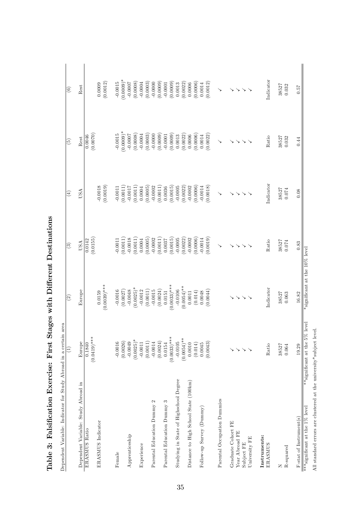|                                        | E)                               | $\widehat{c}$                 | $\odot$               | $\left( 4\right)$     | $\widetilde{5}$       | $\widehat{\circ}$     |
|----------------------------------------|----------------------------------|-------------------------------|-----------------------|-----------------------|-----------------------|-----------------------|
| Dependent Variable: Study Abroad in    | Europe                           | Europe                        | USA                   | USA                   | Rest                  | Rest                  |
| ERASMUS Ratio                          | $(0.0419)$ ***<br>0.1840         |                               | (0.0155)<br>0.0142    |                       | (0.0070)<br>0.0046    |                       |
| ERASMUS Indicator                      |                                  | 0.0159                        |                       | $-0.0018$             |                       | 0.0009                |
|                                        |                                  | $(0.003)$ ***                 |                       | (0.0019)              |                       | (0.0012)              |
| Female                                 | $-0.0016$                        | $-0.0016$                     | $-0.0011$             | $-0.0011$             | $-0.0015$             | $-0.0015$             |
|                                        | (0.0026)                         | (0.0027)                      | (0.0011)              | (0.0011)              | $(0.0009)$ *          | $(0.0009)$ *          |
| Apprenticeship                         | $-0.0049$                        | $-0.0048$                     | $-0.0018$             | $-0.0017$             | $-0.0007$             | (8000.0)              |
|                                        | $(0.0025)$ <sup>*</sup>          | $(0.0025)^*$                  | (0.0011)              | (0.0011)              | (0.0008)              |                       |
| Experience                             | (0.0011)<br>$-0.0011$            | (0.0011)<br>$-0.0012$         | (0.0005)<br>0.0004    | (0.0005)<br>0.0004    | (0.0003)<br>$-0.0004$ | (0.0003)<br>$-0.0004$ |
| 2<br>Parental Education Dummy          | $-0.0014$                        | $-0.0015$                     | $-0.0002$             | $-0.0002$             | $-0.0000$             | $-0.0000$             |
|                                        | (0.0024)                         | (0.0024)                      | (0.0011)              | (0.0011)              | (0.0009)              | (0.0009)              |
| S<br>Parental Education Dummy          | 0.0154                           | 0.0151                        | 0.0037                | 0.0036                | $-0.0001$             | $-0.0001$             |
|                                        | $(0.0033)$ ***                   | $(0.0033)$ ***                | (0.0015)              | (0.0015)              | (0.0009)              | (0.0009)              |
| Studying in State of Highschool Degree | $-0.0105$                        | $-0.0106$                     | $-0.0005$             | $-0.0005$             | 0.0013                | 0.0013                |
|                                        | $(0.0054)$ **                    | $(0.0054)$ **                 | (0.0022)              | (0.0022)              | (0.0022)              | (0.0022)              |
| Distance to High School State (100km)  | 0.0010<br>(0.014)                | (0.014)<br>0.0011             | (0.0006)<br>$-0.0002$ | (0.0006)<br>$-0.0002$ | (0.0006)<br>0.0006    | (0.0006)<br>0.0006    |
| Follow-up Survey (Dummy)               | 0.0045                           | 0.0048                        | $-0.0014$             | $-0.0014$             | 0.0014                | 0.0014                |
|                                        | (0.0043)                         | (0.0044)                      | (0.0019)              | (0.0018)              | (0.0022)              | (0.0012)              |
| Parental Occupation Dummies            |                                  |                               |                       |                       |                       |                       |
| Graduate Cohort FE                     |                                  |                               |                       |                       |                       |                       |
| Year Abroad FE                         | $\mathcal{S} \geq \mathcal{S}$   | $\searrow$                    |                       | ↘                     |                       |                       |
| Subject FE                             |                                  | $\searrow$                    |                       | ↘                     |                       |                       |
| University FE                          | $\searrow$                       |                               |                       |                       |                       |                       |
| Instruments:                           |                                  |                               |                       |                       |                       |                       |
| ERASMUS                                | Ratio                            | Indicator                     | Ratio                 | Indicator             | Ratio                 | Indicator             |
| z                                      | 38527                            | 38527                         | 38527                 | 38527                 | 38527                 | 38527                 |
| R-squared                              | 0.064                            | 0.063                         | 0.074                 | 0.074                 | 0.032                 | 0.032                 |
| F-stat of Instrument(s)                | 19.29                            | 16.82                         | 0.83                  | 0.08                  | 0.44                  | 0.57                  |
| ***<br>significant at the $1\%$ level  | level<br>**significant at the 5% | *significant at the 10% level |                       |                       |                       |                       |

Table 3: Falsification Exercise: First Stages with Different Destinations Table 3: Falsification Exercise: First Stages with Different Destinations

All standard errors are clustered at the university\*sub ject level.

All standard errors are clustered at the university<br>\*subject level.  $\;$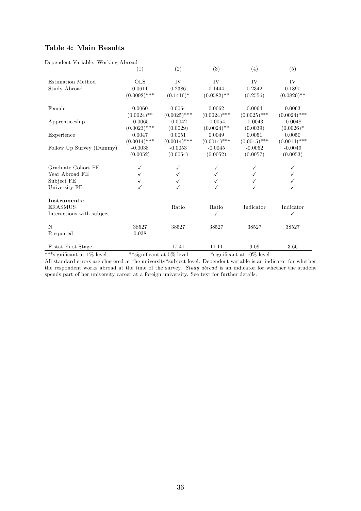#### Table 4: Main Results

|                           | (1)            | $\overline{(2)}$ | $\overline{(3)}$ | $\overline{(4)}$ | $\overline{(5)}$ |
|---------------------------|----------------|------------------|------------------|------------------|------------------|
| Estimation Method         | $_{\rm OLS}$   | IV               | IV               | IV               | IV               |
|                           |                |                  |                  |                  |                  |
| <b>Study Abroad</b>       | 0.0611         | 0.2386           | 0.1444           | 0.2342           | 0.1890           |
|                           | $(0.0092)$ *** | $(0.1416)^*$     | $(0.0582)$ **    | (0.2556)         | $(0.0820)$ **    |
| Female                    | 0.0060         | 0.0064           | 0.0062           | 0.0064           | 0.0063           |
|                           | $(0.0024)$ **  | $(0.0025)$ ***   | $(0.0024)$ ***   | $(0.0025)$ ***   | $(0.0024)$ ***   |
| Apprenticeship            | $-0.0065$      | $-0.0042$        | $-0.0054$        | $-0.0043$        | $-0.0048$        |
|                           | $(0.0023)$ *** | (0.0029)         | $(0.0024)$ **    | (0.0039)         | $(0.0026)^*$     |
| Experience                | 0.0047         | 0.0051           | 0.0049           | 0.0051           | 0.0050           |
|                           | $(0.0014)$ *** | $(0.0014)$ ***   | $(0.0014)$ ***   | $(0.0015)$ ***   | $(0.0014)$ ***   |
| Follow Up Survey (Dummy)  | $-0.0038$      | $-0.0053$        | $-0.0045$        | $-0.0052$        | $-0.0049$        |
|                           | (0.0052)       | (0.0054)         | (0.0052)         | (0.0057)         | (0.0053)         |
| Graduate Cohort FE        |                |                  |                  |                  |                  |
| Year Abroad FE            |                |                  |                  |                  |                  |
| Subject FE                |                |                  |                  |                  |                  |
| University FE             |                |                  |                  |                  |                  |
| Instruments:              |                |                  |                  |                  |                  |
| <b>ERASMUS</b>            |                | Ratio            | Ratio            | Indicator        | Indicator        |
| Interactions with subject |                |                  | ✓                |                  | ✓                |
|                           |                |                  |                  |                  |                  |
| N                         | 38527          | 38527            | 38527            | 38527            | 38527            |
| R-squared                 | 0.038          |                  |                  |                  |                  |
|                           |                |                  |                  |                  |                  |
| <b>F-stat First Stage</b> |                | 17.41            | 11.11            | 9.09             | 3.66             |

Dependent Variable: Working Abroad

\*\*\*significant at  $1\%$  level \*\*\*significant at  $5\%$  level \*\*\*significant at  $10\%$  level

All standard errors are clustered at the university\*subject level. Dependent variable is an indicator for whether the respondent works abroad at the time of the survey. Study abroad is an indicator for whether the student spends part of her university career at a foreign university. See text for further details.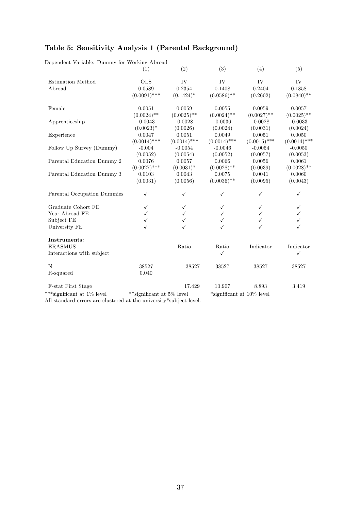|  |  |  | Table 5: Sensitivity Analysis 1 (Parental Background) |  |
|--|--|--|-------------------------------------------------------|--|
|--|--|--|-------------------------------------------------------|--|

| Dependent Variable: Dummy for Working Abroad |                |                  |                |                |                |
|----------------------------------------------|----------------|------------------|----------------|----------------|----------------|
|                                              | (1)            | $\overline{(2)}$ | (3)            | (4)            | (5)            |
|                                              |                |                  |                |                |                |
| <b>Estimation Method</b>                     | <b>OLS</b>     | IV               | ${\rm IV}$     | IV             | IV             |
| Abroad                                       | 0.0589         | 0.2354           | 0.1408         | 0.2404         | 0.1858         |
|                                              | $(0.0091)$ *** | $(0.1424)^*$     | $(0.0586)$ **  | (0.2602)       | $(0.0840)$ **  |
|                                              |                |                  |                |                |                |
| Female                                       | 0.0051         | 0.0059           | 0.0055         | 0.0059         | 0.0057         |
|                                              | $(0.0024)$ **  | $(0.0025)$ **    | $(0.0024)$ **  | $(0.0027)$ **  | $(0.0025)$ **  |
| Apprenticeship                               | $-0.0043$      | $-0.0028$        | $-0.0036$      | $-0.0028$      | $-0.0033$      |
|                                              | $(0.0023)^*$   | (0.0026)         | (0.0024)       | (0.0031)       | (0.0024)       |
| Experience                                   | 0.0047         | 0.0051           | 0.0049         | 0.0051         | 0.0050         |
|                                              | $(0.0014)$ *** | $(0.0014)$ ***   | $(0.0014)$ *** | $(0.0015)$ *** | $(0.0014)$ *** |
| Follow Up Survey (Dummy)                     | $-0.004$       | $-0.0054$        | $-0.0046$      | $-0.0054$      | $-0.0050$      |
|                                              | (0.0052)       | (0.0054)         | (0.0052)       | (0.0057)       | (0.0053)       |
| Parental Education Dummy 2                   | 0.0076         | 0.0057           | 0.0066         | 0.0056         | 0.0061         |
|                                              | $(0.0027)$ *** | $(0.0031)^*$     | $(0.0028)$ **  | (0.0039)       | $(0.0028)$ **  |
| Parental Education Dummy 3                   | 0.0103         | 0.0043           | 0.0075         | 0.0041         | 0.0060         |
|                                              | (0.0031)       | (0.0056)         | $(0.0036)$ **  | (0.0095)       | (0.0043)       |
|                                              |                |                  |                |                |                |
| Parental Occupation Dummies                  | ✓              |                  | ✓              |                | ✓              |
| Graduate Cohort FE                           | ✓              | ✓                |                |                | ✓              |
| Year Abroad FE                               |                | ✓                |                |                | $\checkmark$   |
| Subject FE                                   |                |                  |                |                | $\checkmark$   |
| University FE                                |                |                  |                |                | ✓              |
|                                              |                |                  |                |                |                |
| Instruments:                                 |                |                  |                |                |                |
| <b>ERASMUS</b>                               |                | Ratio            | Ratio          | Indicator      | Indicator      |
| Interactions with subject                    |                |                  | ✓              |                | ✓              |
| N                                            | 38527          | 38527            | 38527          | 38527          | 38527          |
| R-squared                                    | 0.040          |                  |                |                |                |
|                                              |                |                  |                |                |                |
| <b>F-stat First Stage</b>                    |                | 17.429           | 10.907         | 8.893          | 3.419          |

 $\mathbf{C}$   $\mathbf{C}$   $\mathbf{D}$   $\mathbf{D}$ 

\*\*\*significant at 1% level \*\*\*significant at 5% level \*\*\*significant at 10% level

All standard errors are clustered at the university\*subject level.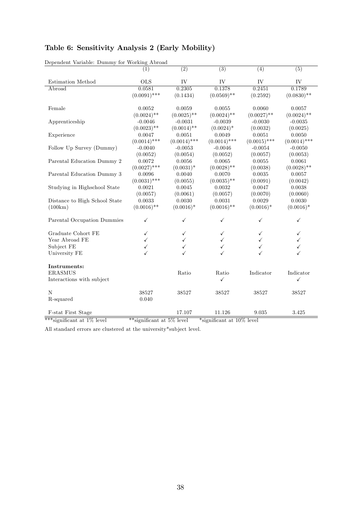|  |  | Table 6: Sensitivity Analysis 2 (Early Mobility) |  |  |
|--|--|--------------------------------------------------|--|--|
|--|--|--------------------------------------------------|--|--|

| Dependent Variable: Dummy for Working Abroad |                |                  |                  |                |                |
|----------------------------------------------|----------------|------------------|------------------|----------------|----------------|
|                                              | (1)            | $\overline{(2)}$ | $\overline{(3)}$ | (4)            | (5)            |
|                                              |                |                  |                  |                |                |
| Estimation Method                            | <b>OLS</b>     | IV               | IV               | ${\rm IV}$     | IV             |
| Abroad                                       | 0.0581         | 0.2305           | 0.1378           | 0.2451         | 0.1789         |
|                                              | $(0.0091)$ *** | (0.1434)         | $(0.0569)$ **    | (0.2592)       | $(0.0830)$ **  |
| Female                                       | 0.0052         | 0.0059           | 0.0055           | 0.0060         | 0.0057         |
|                                              | $(0.0024)$ **  | $(0.0025)$ **    | $(0.0024)$ **    | $(0.0027)$ **  | $(0.0024)$ **  |
| Apprenticeship                               | $-0.0046$      | $-0.0031$        | $-0.0039$        | $-0.0030$      | $-0.0035$      |
|                                              | $(0.0023)$ **  | $(0.0014)$ **    | $(0.0024)$ *     | (0.0032)       | (0.0025)       |
| Experience                                   | 0.0047         | 0.0051           | 0.0049           | 0.0051         | 0.0050         |
|                                              | $(0.0014)$ *** | $(0.0014)$ ***   | $(0.0014)$ ***   | $(0.0015)$ *** | $(0.0014)$ *** |
| Follow Up Survey (Dummy)                     | $-0.0040$      | $-0.0053$        | $-0.0046$        | $-0.0054$      | $-0.0050$      |
|                                              | (0.0052)       | (0.0054)         | (0.0052)         | (0.0057)       | (0.0053)       |
| Parental Education Dummy 2                   | 0.0072         | 0.0056           | 0.0065           | 0.0055         | 0.0061         |
|                                              | $(0.0027)$ *** | $(0.0031)^*$     | $(0.0028)$ **    | (0.0038)       | $(0.0028)$ **  |
| Parental Education Dummy 3                   | 0.0096         | 0.0040           | 0.0070           | 0.0035         | 0.0057         |
|                                              | $(0.0031)$ *** | (0.0055)         | $(0.0035)$ **    | (0.0091)       | (0.0042)       |
| Studying in Highschool State                 | 0.0021         | 0.0045           | 0.0032           | 0.0047         | 0.0038         |
|                                              | (0.0057)       | (0.0061)         | (0.0057)         | (0.0070)       | (0.0060)       |
| Distance to High School State                | 0.0033         | 0.0030           | 0.0031           | 0.0029         | 0.0030         |
| (100km)                                      | $(0.0016)$ **  | $(0.0016)^*$     | $(0.0016)$ **    | $(0.0016)*$    | $(0.0016)*$    |
|                                              |                |                  |                  |                |                |
| Parental Occupation Dummies                  | ✓              | ✓                | $\checkmark$     | ✓              | $\checkmark$   |
|                                              |                |                  |                  |                |                |
| Graduate Cohort FE                           | ✓              | ✓                |                  |                | ✓              |
| Year Abroad FE                               |                |                  |                  |                |                |
| Subject FE                                   |                | ✓                |                  |                | $\checkmark$   |
| University FE                                |                | ✓                |                  |                | $\checkmark$   |
|                                              |                |                  |                  |                |                |
| Instruments:                                 |                |                  |                  |                |                |
| <b>ERASMUS</b>                               |                | Ratio            | Ratio            | Indicator      | Indicator      |
| Interactions with subject                    |                |                  | $\checkmark$     |                | $\checkmark$   |
| N                                            | 38527          | 38527            | 38527            | 38527          | 38527          |
| R-squared                                    | 0.040          |                  |                  |                |                |
|                                              |                |                  |                  |                |                |
| <b>F-stat First Stage</b>                    |                | 17.107           | 11.126           | 9.035          | 3.425          |

Dependent Variable: Dummy for Working Abroad

\*\*\*significant at  $1\%$  level \*\*significant at  $5\%$  level \*significant at  $10\%$  level

All standard errors are clustered at the university\*subject level.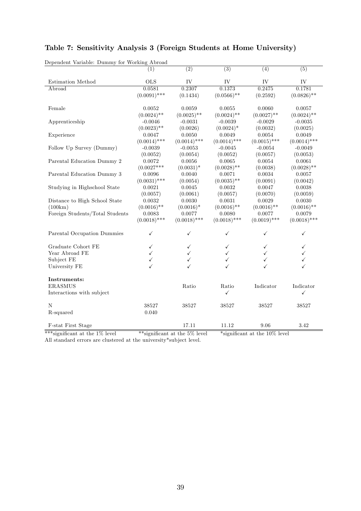| $\overline{(2)}$<br>$\overline{(3)}$<br>(5)<br>$\overline{(4)}$<br>(1)<br><b>OLS</b><br>IV<br>IV<br>IV<br><b>Estimation Method</b><br>IV<br>0.0581<br>0.2307<br>0.1373<br>0.2475<br>Abroad<br>0.1781<br>$(0.0091)$ ***<br>$(0.0566)$ **<br>$(0.0826)$ **<br>(0.1434)<br>(0.2592)<br>0.0052<br>0.0059<br>0.0055<br>0.0060<br>0.0057<br>Female<br>$(0.0024)$ **<br>$(0.0025)$ **<br>$(0.0024)$ **<br>$(0.0027)$ **<br>$(0.0024)$ **<br>$-0.0046$<br>Apprenticeship<br>$-0.0031$<br>$-0.0039$<br>$-0.0029$<br>$-0.0035$<br>$(0.0023)$ **<br>(0.0026)<br>$(0.0024)$ *<br>(0.0032)<br>(0.0025)<br>Experience<br>0.0047<br>0.0050<br>0.0054<br>0.0049<br>0.0049<br>$(0.0014)$ ***<br>$(0.0014)$ ***<br>$(0.0014)$ ***<br>$(0.0015)$ ***<br>$(0.0014)$ ***<br>Follow Up Survey (Dummy)<br>$-0.0039$<br>$-0.0053$<br>$-0.0045$<br>$-0.0054$<br>$-0.0049$<br>(0.0054)<br>(0.0052)<br>(0.0052)<br>(0.0057)<br>(0.0053)<br>0.0056<br>Parental Education Dummy 2<br>0.0072<br>0.0065<br>0.0054<br>0.0061<br>$(0.0027***$<br>$(0.0031)^*$<br>$(0.0028)$ **<br>$(0.0028)$ **<br>(0.0038)<br>0.0096<br>0.0040<br>0.0034<br>Parental Education Dummy 3<br>0.0071<br>0.0057<br>$(0.0031)$ ***<br>$(0.0035)$ **<br>(0.0054)<br>(0.0091)<br>(0.0042)<br>Studying in Highschool State<br>0.0021<br>0.0045<br>0.0032<br>0.0047<br>0.0038<br>(0.0061)<br>(0.0070)<br>(0.0057)<br>(0.0057)<br>(0.0059)<br>Distance to High School State<br>0.0032<br>0.0030<br>0.0031<br>0.0029<br>0.0030<br>$(0.0016)$ **<br>$(0.0016)$ **<br>(100km)<br>$(0.0016)*$<br>$(0.0016)$ **<br>$(0.0016)$ **<br>Foreign Students/Total Students<br>0.0083<br>0.0077<br>0.0080<br>0.0077<br>0.0079<br>$(0.0018)$ ***<br>$(0.0018)$ ***<br>$(0.0018)$ ***<br>$(0.0018)$ ***<br>$(0.0019)$ ***<br>Parental Occupation Dummies<br>$\checkmark$<br>$\checkmark$<br>✓<br>✓<br>✓<br>Graduate Cohort FE<br>✓<br>✓<br>Year Abroad FE<br>$\checkmark$<br>Subject FE<br>$\checkmark$<br>University FE<br>Instruments:<br>Indicator<br><b>ERASMUS</b><br>Ratio<br>Ratio<br>Indicator<br>Interactions with subject<br>✓<br>✓<br>$\mathbf N$<br>38527<br>38527<br>38527<br>38527<br>38527<br>R-squared<br>0.040<br>11.12<br>3.42<br>F-stat First Stage<br>17.11<br>9.06 | Dependent Variable: Dummy for Working Abroad |  |  |  |
|---------------------------------------------------------------------------------------------------------------------------------------------------------------------------------------------------------------------------------------------------------------------------------------------------------------------------------------------------------------------------------------------------------------------------------------------------------------------------------------------------------------------------------------------------------------------------------------------------------------------------------------------------------------------------------------------------------------------------------------------------------------------------------------------------------------------------------------------------------------------------------------------------------------------------------------------------------------------------------------------------------------------------------------------------------------------------------------------------------------------------------------------------------------------------------------------------------------------------------------------------------------------------------------------------------------------------------------------------------------------------------------------------------------------------------------------------------------------------------------------------------------------------------------------------------------------------------------------------------------------------------------------------------------------------------------------------------------------------------------------------------------------------------------------------------------------------------------------------------------------------------------------------------------------------------------------------------------------------------------------------------------------------------------------------------------------------------------------------------------------------------------------------------------------------------------------------------------|----------------------------------------------|--|--|--|
|                                                                                                                                                                                                                                                                                                                                                                                                                                                                                                                                                                                                                                                                                                                                                                                                                                                                                                                                                                                                                                                                                                                                                                                                                                                                                                                                                                                                                                                                                                                                                                                                                                                                                                                                                                                                                                                                                                                                                                                                                                                                                                                                                                                                               |                                              |  |  |  |
|                                                                                                                                                                                                                                                                                                                                                                                                                                                                                                                                                                                                                                                                                                                                                                                                                                                                                                                                                                                                                                                                                                                                                                                                                                                                                                                                                                                                                                                                                                                                                                                                                                                                                                                                                                                                                                                                                                                                                                                                                                                                                                                                                                                                               |                                              |  |  |  |
|                                                                                                                                                                                                                                                                                                                                                                                                                                                                                                                                                                                                                                                                                                                                                                                                                                                                                                                                                                                                                                                                                                                                                                                                                                                                                                                                                                                                                                                                                                                                                                                                                                                                                                                                                                                                                                                                                                                                                                                                                                                                                                                                                                                                               |                                              |  |  |  |
|                                                                                                                                                                                                                                                                                                                                                                                                                                                                                                                                                                                                                                                                                                                                                                                                                                                                                                                                                                                                                                                                                                                                                                                                                                                                                                                                                                                                                                                                                                                                                                                                                                                                                                                                                                                                                                                                                                                                                                                                                                                                                                                                                                                                               |                                              |  |  |  |
|                                                                                                                                                                                                                                                                                                                                                                                                                                                                                                                                                                                                                                                                                                                                                                                                                                                                                                                                                                                                                                                                                                                                                                                                                                                                                                                                                                                                                                                                                                                                                                                                                                                                                                                                                                                                                                                                                                                                                                                                                                                                                                                                                                                                               |                                              |  |  |  |
|                                                                                                                                                                                                                                                                                                                                                                                                                                                                                                                                                                                                                                                                                                                                                                                                                                                                                                                                                                                                                                                                                                                                                                                                                                                                                                                                                                                                                                                                                                                                                                                                                                                                                                                                                                                                                                                                                                                                                                                                                                                                                                                                                                                                               |                                              |  |  |  |
|                                                                                                                                                                                                                                                                                                                                                                                                                                                                                                                                                                                                                                                                                                                                                                                                                                                                                                                                                                                                                                                                                                                                                                                                                                                                                                                                                                                                                                                                                                                                                                                                                                                                                                                                                                                                                                                                                                                                                                                                                                                                                                                                                                                                               |                                              |  |  |  |
|                                                                                                                                                                                                                                                                                                                                                                                                                                                                                                                                                                                                                                                                                                                                                                                                                                                                                                                                                                                                                                                                                                                                                                                                                                                                                                                                                                                                                                                                                                                                                                                                                                                                                                                                                                                                                                                                                                                                                                                                                                                                                                                                                                                                               |                                              |  |  |  |
|                                                                                                                                                                                                                                                                                                                                                                                                                                                                                                                                                                                                                                                                                                                                                                                                                                                                                                                                                                                                                                                                                                                                                                                                                                                                                                                                                                                                                                                                                                                                                                                                                                                                                                                                                                                                                                                                                                                                                                                                                                                                                                                                                                                                               |                                              |  |  |  |
|                                                                                                                                                                                                                                                                                                                                                                                                                                                                                                                                                                                                                                                                                                                                                                                                                                                                                                                                                                                                                                                                                                                                                                                                                                                                                                                                                                                                                                                                                                                                                                                                                                                                                                                                                                                                                                                                                                                                                                                                                                                                                                                                                                                                               |                                              |  |  |  |
|                                                                                                                                                                                                                                                                                                                                                                                                                                                                                                                                                                                                                                                                                                                                                                                                                                                                                                                                                                                                                                                                                                                                                                                                                                                                                                                                                                                                                                                                                                                                                                                                                                                                                                                                                                                                                                                                                                                                                                                                                                                                                                                                                                                                               |                                              |  |  |  |
|                                                                                                                                                                                                                                                                                                                                                                                                                                                                                                                                                                                                                                                                                                                                                                                                                                                                                                                                                                                                                                                                                                                                                                                                                                                                                                                                                                                                                                                                                                                                                                                                                                                                                                                                                                                                                                                                                                                                                                                                                                                                                                                                                                                                               |                                              |  |  |  |
|                                                                                                                                                                                                                                                                                                                                                                                                                                                                                                                                                                                                                                                                                                                                                                                                                                                                                                                                                                                                                                                                                                                                                                                                                                                                                                                                                                                                                                                                                                                                                                                                                                                                                                                                                                                                                                                                                                                                                                                                                                                                                                                                                                                                               |                                              |  |  |  |
|                                                                                                                                                                                                                                                                                                                                                                                                                                                                                                                                                                                                                                                                                                                                                                                                                                                                                                                                                                                                                                                                                                                                                                                                                                                                                                                                                                                                                                                                                                                                                                                                                                                                                                                                                                                                                                                                                                                                                                                                                                                                                                                                                                                                               |                                              |  |  |  |
|                                                                                                                                                                                                                                                                                                                                                                                                                                                                                                                                                                                                                                                                                                                                                                                                                                                                                                                                                                                                                                                                                                                                                                                                                                                                                                                                                                                                                                                                                                                                                                                                                                                                                                                                                                                                                                                                                                                                                                                                                                                                                                                                                                                                               |                                              |  |  |  |
|                                                                                                                                                                                                                                                                                                                                                                                                                                                                                                                                                                                                                                                                                                                                                                                                                                                                                                                                                                                                                                                                                                                                                                                                                                                                                                                                                                                                                                                                                                                                                                                                                                                                                                                                                                                                                                                                                                                                                                                                                                                                                                                                                                                                               |                                              |  |  |  |
|                                                                                                                                                                                                                                                                                                                                                                                                                                                                                                                                                                                                                                                                                                                                                                                                                                                                                                                                                                                                                                                                                                                                                                                                                                                                                                                                                                                                                                                                                                                                                                                                                                                                                                                                                                                                                                                                                                                                                                                                                                                                                                                                                                                                               |                                              |  |  |  |
|                                                                                                                                                                                                                                                                                                                                                                                                                                                                                                                                                                                                                                                                                                                                                                                                                                                                                                                                                                                                                                                                                                                                                                                                                                                                                                                                                                                                                                                                                                                                                                                                                                                                                                                                                                                                                                                                                                                                                                                                                                                                                                                                                                                                               |                                              |  |  |  |
|                                                                                                                                                                                                                                                                                                                                                                                                                                                                                                                                                                                                                                                                                                                                                                                                                                                                                                                                                                                                                                                                                                                                                                                                                                                                                                                                                                                                                                                                                                                                                                                                                                                                                                                                                                                                                                                                                                                                                                                                                                                                                                                                                                                                               |                                              |  |  |  |
|                                                                                                                                                                                                                                                                                                                                                                                                                                                                                                                                                                                                                                                                                                                                                                                                                                                                                                                                                                                                                                                                                                                                                                                                                                                                                                                                                                                                                                                                                                                                                                                                                                                                                                                                                                                                                                                                                                                                                                                                                                                                                                                                                                                                               |                                              |  |  |  |
|                                                                                                                                                                                                                                                                                                                                                                                                                                                                                                                                                                                                                                                                                                                                                                                                                                                                                                                                                                                                                                                                                                                                                                                                                                                                                                                                                                                                                                                                                                                                                                                                                                                                                                                                                                                                                                                                                                                                                                                                                                                                                                                                                                                                               |                                              |  |  |  |
|                                                                                                                                                                                                                                                                                                                                                                                                                                                                                                                                                                                                                                                                                                                                                                                                                                                                                                                                                                                                                                                                                                                                                                                                                                                                                                                                                                                                                                                                                                                                                                                                                                                                                                                                                                                                                                                                                                                                                                                                                                                                                                                                                                                                               |                                              |  |  |  |
|                                                                                                                                                                                                                                                                                                                                                                                                                                                                                                                                                                                                                                                                                                                                                                                                                                                                                                                                                                                                                                                                                                                                                                                                                                                                                                                                                                                                                                                                                                                                                                                                                                                                                                                                                                                                                                                                                                                                                                                                                                                                                                                                                                                                               |                                              |  |  |  |
|                                                                                                                                                                                                                                                                                                                                                                                                                                                                                                                                                                                                                                                                                                                                                                                                                                                                                                                                                                                                                                                                                                                                                                                                                                                                                                                                                                                                                                                                                                                                                                                                                                                                                                                                                                                                                                                                                                                                                                                                                                                                                                                                                                                                               |                                              |  |  |  |
|                                                                                                                                                                                                                                                                                                                                                                                                                                                                                                                                                                                                                                                                                                                                                                                                                                                                                                                                                                                                                                                                                                                                                                                                                                                                                                                                                                                                                                                                                                                                                                                                                                                                                                                                                                                                                                                                                                                                                                                                                                                                                                                                                                                                               |                                              |  |  |  |
|                                                                                                                                                                                                                                                                                                                                                                                                                                                                                                                                                                                                                                                                                                                                                                                                                                                                                                                                                                                                                                                                                                                                                                                                                                                                                                                                                                                                                                                                                                                                                                                                                                                                                                                                                                                                                                                                                                                                                                                                                                                                                                                                                                                                               |                                              |  |  |  |
|                                                                                                                                                                                                                                                                                                                                                                                                                                                                                                                                                                                                                                                                                                                                                                                                                                                                                                                                                                                                                                                                                                                                                                                                                                                                                                                                                                                                                                                                                                                                                                                                                                                                                                                                                                                                                                                                                                                                                                                                                                                                                                                                                                                                               |                                              |  |  |  |
|                                                                                                                                                                                                                                                                                                                                                                                                                                                                                                                                                                                                                                                                                                                                                                                                                                                                                                                                                                                                                                                                                                                                                                                                                                                                                                                                                                                                                                                                                                                                                                                                                                                                                                                                                                                                                                                                                                                                                                                                                                                                                                                                                                                                               |                                              |  |  |  |
|                                                                                                                                                                                                                                                                                                                                                                                                                                                                                                                                                                                                                                                                                                                                                                                                                                                                                                                                                                                                                                                                                                                                                                                                                                                                                                                                                                                                                                                                                                                                                                                                                                                                                                                                                                                                                                                                                                                                                                                                                                                                                                                                                                                                               |                                              |  |  |  |
|                                                                                                                                                                                                                                                                                                                                                                                                                                                                                                                                                                                                                                                                                                                                                                                                                                                                                                                                                                                                                                                                                                                                                                                                                                                                                                                                                                                                                                                                                                                                                                                                                                                                                                                                                                                                                                                                                                                                                                                                                                                                                                                                                                                                               |                                              |  |  |  |
|                                                                                                                                                                                                                                                                                                                                                                                                                                                                                                                                                                                                                                                                                                                                                                                                                                                                                                                                                                                                                                                                                                                                                                                                                                                                                                                                                                                                                                                                                                                                                                                                                                                                                                                                                                                                                                                                                                                                                                                                                                                                                                                                                                                                               |                                              |  |  |  |
|                                                                                                                                                                                                                                                                                                                                                                                                                                                                                                                                                                                                                                                                                                                                                                                                                                                                                                                                                                                                                                                                                                                                                                                                                                                                                                                                                                                                                                                                                                                                                                                                                                                                                                                                                                                                                                                                                                                                                                                                                                                                                                                                                                                                               |                                              |  |  |  |
|                                                                                                                                                                                                                                                                                                                                                                                                                                                                                                                                                                                                                                                                                                                                                                                                                                                                                                                                                                                                                                                                                                                                                                                                                                                                                                                                                                                                                                                                                                                                                                                                                                                                                                                                                                                                                                                                                                                                                                                                                                                                                                                                                                                                               |                                              |  |  |  |

#### Table 7: Sensitivity Analysis 3 (Foreign Students at Home University)

\*\*\*significant at the 1% level \*\*\*significant at the 5% level \*\*significant at the 10% level

All standard errors are clustered at the university\*subject level.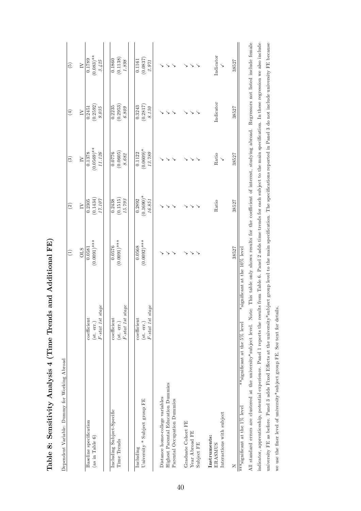| Dependent Variable: Dummy for Working Abroad |                                                                                  |                |                   |                          |                                                          |               |
|----------------------------------------------|----------------------------------------------------------------------------------|----------------|-------------------|--------------------------|----------------------------------------------------------|---------------|
|                                              |                                                                                  | Ξ              | $\left( 2\right)$ | $\widehat{\mathbf{e}}$   | $\left( \begin{smallmatrix} 4 \end{smallmatrix} \right)$ | $\widehat{5}$ |
|                                              |                                                                                  | <b>OLS</b>     | $\geq$            | $\geq$                   | $\geq$                                                   | $\geq$        |
| Baseline specification                       | coefficient                                                                      | 0.0581         | 0.2305            | 0.1378                   | 0.2451                                                   | 0.1789        |
| (as in Table 6)                              | $(\text{st. err.})$                                                              | $(0.0091)$ *** | (0.1434)          | $(0.0569)^{**}$ $11.126$ | (0.2592)                                                 | $(0.083)$ **  |
|                                              | $F\text{-}stat\ 1st\ stage$                                                      |                | $17.107$          |                          | $9.035\,$                                                | 3.425         |
| Including Subject-Specific                   | coefficient                                                                      | 0.0576         | 0.2438            | 0.0776                   | 0.2235                                                   | 0.1860        |
| Time Trends                                  | (st. err.)                                                                       | $(0.0091)$ *** | (0.1515)          | (0.0605)                 | (0.2953)                                                 | (0.1138)      |
|                                              | $F\text{-}stat\ 1st\ stage$                                                      |                | 15.793            | $8.68\%$                 | 6.809                                                    | $1.898\,$     |
| Including                                    | coefficient                                                                      | 0.0568         | 0.2892            | 0.1122                   | 0.3243                                                   | 0.1161        |
| University * Subject group FE                | (st. err.)                                                                       | $(0.0092)$ *** | $(0.1690)*$       | $(0.0609)*$              | (0.2817)                                                 | (0.0837)      |
|                                              | $\label{eq:1st} \begin{array}{ll} F\text{-}stat\  \, 1st\  \, stage \end{array}$ |                | 16.851            | 13.789                   | $8.130\,$                                                | 2.971         |
| Distance home-college variables              |                                                                                  |                |                   |                          |                                                          |               |
| Highest Parental Education Dummies           |                                                                                  |                |                   |                          |                                                          |               |
| Parental Occupation Dummies                  |                                                                                  |                |                   |                          |                                                          |               |
| Graduate Cohort FE                           |                                                                                  |                |                   |                          |                                                          |               |
| Year Abroad FE                               |                                                                                  |                |                   |                          |                                                          |               |
| Subject FE                                   |                                                                                  |                |                   |                          |                                                          |               |
| Instruments:                                 |                                                                                  |                |                   |                          |                                                          |               |
| <b>ERASMUS</b>                               |                                                                                  |                | Ratio             | Ratio                    | Indicator                                                | Indicator     |
| Interactions with subject                    |                                                                                  |                |                   |                          |                                                          |               |
| $\succ$                                      |                                                                                  | 38527          | 38527             | 38527                    | 38527                                                    | 38527         |

Table 8: Sensitivity Analysis 4 (Time Trends and Additional FE) Table 8: Sensitivity Analysis 4 (Time Trends and Additional FE)

All standard errors are clustered at the university\*subject level. Note: This table only shows results for the coefficient of interest, studying abroad. Regressors not listed include female indicator, apprenticeship, potential experience. Panel 1 reports the results from Table 6. Panel 2 adds time trends for each subject to the main specification. In these regression we also include university FE as before. Panel 3 adds Fixed Effects at the university\*subject group level to the main specification. The specifications reported in Panel 3 do not include university FE because All standard errors are clustered at the university\*subject level. Note: This table only shows results for the coefficient of interest, studying abroad. Regressors not listed include female indicator, apprenticeship, potential experience. Panel 1 reports the results from Table 6. Panel 2 adds time trends for each subject to the main specification. In these regression we also include university FE as before. Panel 3 adds Fixed Effects at the university\*subject group level to the main specification. The specifications reported in Panel 3 do not include university FE because  $*$ significant at the 10% level \*\*\*significant at the 1% level  $*$ \*\*significant at the 5% level  $*$  significant at the 10% level we use the finer level of university\*subject group FE. See text for details. we use the finer level of university\*subject group FE. See text for details. \*\*significant at the 5% level  $\ast\ast\ast \mathop{\mathrm{sign}}\nolimits$  if<br>leant at the 1% level